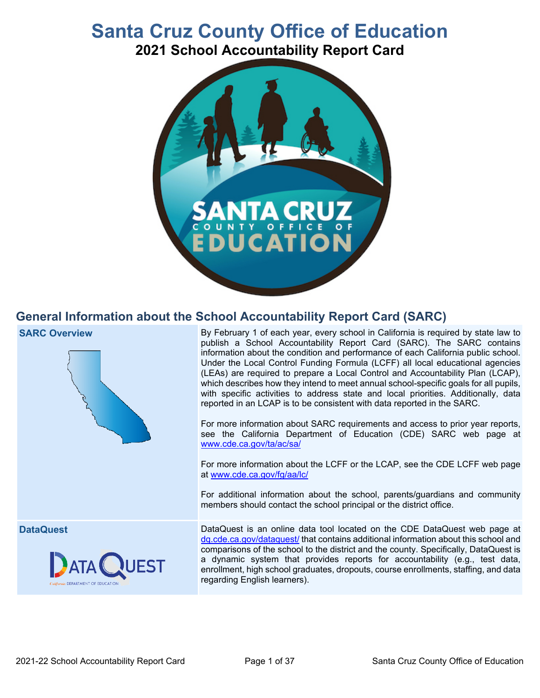# **Santa Cruz County Office of Education**

**2021 School Accountability Report Card**



## **General Information about the School Accountability Report Card (SARC)**





**SARC Overview** By February 1 of each year, every school in California is required by state law to publish a School Accountability Report Card (SARC). The SARC contains information about the condition and performance of each California public school. Under the Local Control Funding Formula (LCFF) all local educational agencies (LEAs) are required to prepare a Local Control and Accountability Plan (LCAP), which describes how they intend to meet annual school-specific goals for all pupils, with specific activities to address state and local priorities. Additionally, data reported in an LCAP is to be consistent with data reported in the SARC.

> For more information about SARC requirements and access to prior year reports, see the California Department of Education (CDE) SARC web page at [www.cde.ca.gov/ta/ac/sa/](https://www.cde.ca.gov/ta/ac/sa/)

> For more information about the LCFF or the LCAP, see the CDE LCFF web page at [www.cde.ca.gov/fg/aa/lc/](https://www.cde.ca.gov/fg/aa/lc/)

> For additional information about the school, parents/guardians and community members should contact the school principal or the district office.

**DataQuest** DataQuest is an online data tool located on the CDE DataQuest web page at [dq.cde.ca.gov/dataquest/](https://dq.cde.ca.gov/dataquest/) that contains additional information about this school and comparisons of the school to the district and the county. Specifically, DataQuest is a dynamic system that provides reports for accountability (e.g., test data, enrollment, high school graduates, dropouts, course enrollments, staffing, and data regarding English learners).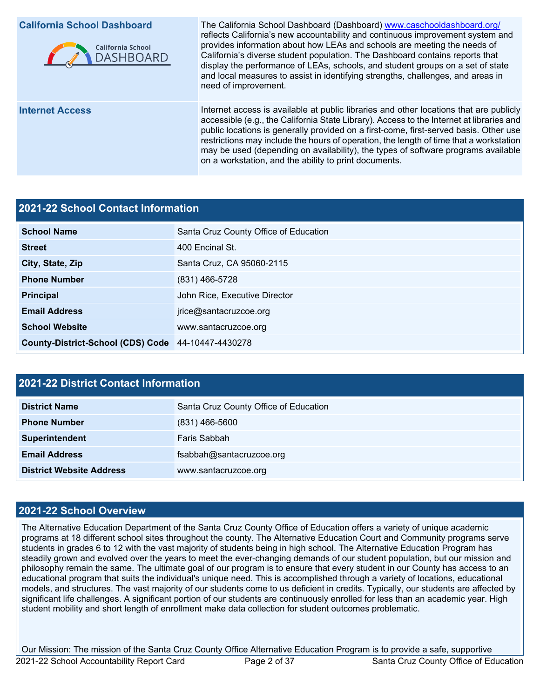

**California School Dashboard** The California School Dashboard (Dashboard) [www.caschooldashboard.org/](http://www.caschooldashboard.org/) reflects California's new accountability and continuous improvement system and provides information about how LEAs and schools are meeting the needs of California's diverse student population. The Dashboard contains reports that display the performance of LEAs, schools, and student groups on a set of state and local measures to assist in identifying strengths, challenges, and areas in need of improvement.

**Internet Access Internet access is available at public libraries and other locations that are publicly** accessible (e.g., the California State Library). Access to the Internet at libraries and public locations is generally provided on a first-come, first-served basis. Other use restrictions may include the hours of operation, the length of time that a workstation may be used (depending on availability), the types of software programs available on a workstation, and the ability to print documents.

#### **2021-22 School Contact Information**

| <b>School Name</b>                                 | Santa Cruz County Office of Education |  |  |
|----------------------------------------------------|---------------------------------------|--|--|
| <b>Street</b>                                      | 400 Encinal St.                       |  |  |
| City, State, Zip                                   | Santa Cruz, CA 95060-2115             |  |  |
| <b>Phone Number</b>                                | $(831)$ 466-5728                      |  |  |
| <b>Principal</b>                                   | John Rice, Executive Director         |  |  |
| <b>Email Address</b>                               | jrice@santacruzcoe.org                |  |  |
| <b>School Website</b>                              | www.santacruzcoe.org                  |  |  |
| County-District-School (CDS) Code 44-10447-4430278 |                                       |  |  |

#### **2021-22 District Contact Information**

| <b>District Name</b>            | Santa Cruz County Office of Education |  |  |
|---------------------------------|---------------------------------------|--|--|
| <b>Phone Number</b>             | $(831)$ 466-5600                      |  |  |
| Superintendent                  | Faris Sabbah                          |  |  |
| <b>Email Address</b>            | fsabbah@santacruzcoe.org              |  |  |
| <b>District Website Address</b> | www.santacruzcoe.org                  |  |  |

### **2021-22 School Overview**

The Alternative Education Department of the Santa Cruz County Office of Education offers a variety of unique academic programs at 18 different school sites throughout the county. The Alternative Education Court and Community programs serve students in grades 6 to 12 with the vast majority of students being in high school. The Alternative Education Program has steadily grown and evolved over the years to meet the ever-changing demands of our student population, but our mission and philosophy remain the same. The ultimate goal of our program is to ensure that every student in our County has access to an educational program that suits the individual's unique need. This is accomplished through a variety of locations, educational models, and structures. The vast majority of our students come to us deficient in credits. Typically, our students are affected by significant life challenges. A significant portion of our students are continuously enrolled for less than an academic year. High student mobility and short length of enrollment make data collection for student outcomes problematic.

Our Mission: The mission of the Santa Cruz County Office Alternative Education Program is to provide a safe, supportive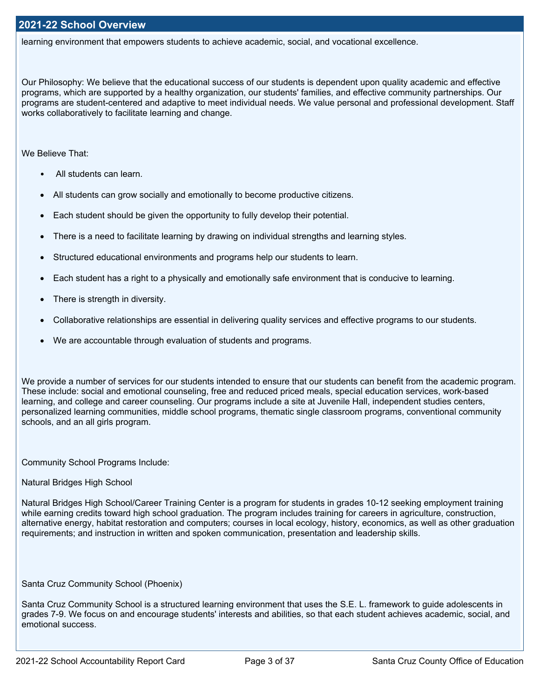learning environment that empowers students to achieve academic, social, and vocational excellence.

Our Philosophy: We believe that the educational success of our students is dependent upon quality academic and effective programs, which are supported by a healthy organization, our students' families, and effective community partnerships. Our programs are student-centered and adaptive to meet individual needs. We value personal and professional development. Staff works collaboratively to facilitate learning and change.

We Believe That:

- All students can learn.
- All students can grow socially and emotionally to become productive citizens.
- Each student should be given the opportunity to fully develop their potential.
- There is a need to facilitate learning by drawing on individual strengths and learning styles.
- Structured educational environments and programs help our students to learn.
- Each student has a right to a physically and emotionally safe environment that is conducive to learning.
- There is strength in diversity.
- Collaborative relationships are essential in delivering quality services and effective programs to our students.
- We are accountable through evaluation of students and programs.

We provide a number of services for our students intended to ensure that our students can benefit from the academic program. These include: social and emotional counseling, free and reduced priced meals, special education services, work-based learning, and college and career counseling. Our programs include a site at Juvenile Hall, independent studies centers, personalized learning communities, middle school programs, thematic single classroom programs, conventional community schools, and an all girls program.

Community School Programs Include:

Natural Bridges High School

Natural Bridges High School/Career Training Center is a program for students in grades 10-12 seeking employment training while earning credits toward high school graduation. The program includes training for careers in agriculture, construction, alternative energy, habitat restoration and computers; courses in local ecology, history, economics, as well as other graduation requirements; and instruction in written and spoken communication, presentation and leadership skills.

Santa Cruz Community School (Phoenix)

Santa Cruz Community School is a structured learning environment that uses the S.E. L. framework to guide adolescents in grades 7-9. We focus on and encourage students' interests and abilities, so that each student achieves academic, social, and emotional success.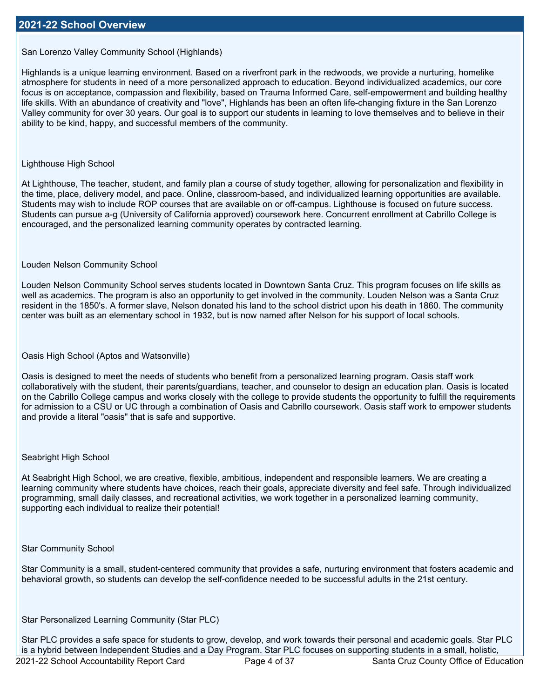San Lorenzo Valley Community School (Highlands)

Highlands is a unique learning environment. Based on a riverfront park in the redwoods, we provide a nurturing, homelike atmosphere for students in need of a more personalized approach to education. Beyond individualized academics, our core focus is on acceptance, compassion and flexibility, based on Trauma Informed Care, self-empowerment and building healthy life skills. With an abundance of creativity and "love", Highlands has been an often life-changing fixture in the San Lorenzo Valley community for over 30 years. Our goal is to support our students in learning to love themselves and to believe in their ability to be kind, happy, and successful members of the community.

#### Lighthouse High School

At Lighthouse, The teacher, student, and family plan a course of study together, allowing for personalization and flexibility in the time, place, delivery model, and pace. Online, classroom-based, and individualized learning opportunities are available. Students may wish to include ROP courses that are available on or off-campus. Lighthouse is focused on future success. Students can pursue a-g (University of California approved) coursework here. Concurrent enrollment at Cabrillo College is encouraged, and the personalized learning community operates by contracted learning.

#### Louden Nelson Community School

Louden Nelson Community School serves students located in Downtown Santa Cruz. This program focuses on life skills as well as academics. The program is also an opportunity to get involved in the community. Louden Nelson was a Santa Cruz resident in the 1850's. A former slave, Nelson donated his land to the school district upon his death in 1860. The community center was built as an elementary school in 1932, but is now named after Nelson for his support of local schools.

#### Oasis High School (Aptos and Watsonville)

Oasis is designed to meet the needs of students who benefit from a personalized learning program. Oasis staff work collaboratively with the student, their parents/guardians, teacher, and counselor to design an education plan. Oasis is located on the Cabrillo College campus and works closely with the college to provide students the opportunity to fulfill the requirements for admission to a CSU or UC through a combination of Oasis and Cabrillo coursework. Oasis staff work to empower students and provide a literal "oasis" that is safe and supportive.

#### Seabright High School

At Seabright High School, we are creative, flexible, ambitious, independent and responsible learners. We are creating a learning community where students have choices, reach their goals, appreciate diversity and feel safe. Through individualized programming, small daily classes, and recreational activities, we work together in a personalized learning community, supporting each individual to realize their potential!

#### Star Community School

Star Community is a small, student-centered community that provides a safe, nurturing environment that fosters academic and behavioral growth, so students can develop the self-confidence needed to be successful adults in the 21st century.

#### Star Personalized Learning Community (Star PLC)

Star PLC provides a safe space for students to grow, develop, and work towards their personal and academic goals. Star PLC is a hybrid between Independent Studies and a Day Program. Star PLC focuses on supporting students in a small, holistic,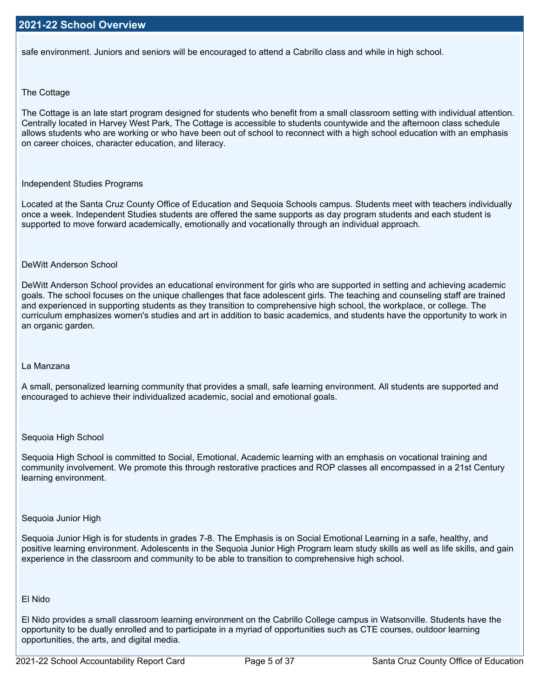safe environment. Juniors and seniors will be encouraged to attend a Cabrillo class and while in high school.

#### The Cottage

The Cottage is an late start program designed for students who benefit from a small classroom setting with individual attention. Centrally located in Harvey West Park, The Cottage is accessible to students countywide and the afternoon class schedule allows students who are working or who have been out of school to reconnect with a high school education with an emphasis on career choices, character education, and literacy.

#### Independent Studies Programs

Located at the Santa Cruz County Office of Education and Sequoia Schools campus. Students meet with teachers individually once a week. Independent Studies students are offered the same supports as day program students and each student is supported to move forward academically, emotionally and vocationally through an individual approach.

#### DeWitt Anderson School

DeWitt Anderson School provides an educational environment for girls who are supported in setting and achieving academic goals. The school focuses on the unique challenges that face adolescent girls. The teaching and counseling staff are trained and experienced in supporting students as they transition to comprehensive high school, the workplace, or college. The curriculum emphasizes women's studies and art in addition to basic academics, and students have the opportunity to work in an organic garden.

#### La Manzana

A small, personalized learning community that provides a small, safe learning environment. All students are supported and encouraged to achieve their individualized academic, social and emotional goals.

#### Sequoia High School

Sequoia High School is committed to Social, Emotional, Academic learning with an emphasis on vocational training and community involvement. We promote this through restorative practices and ROP classes all encompassed in a 21st Century learning environment.

#### Sequoia Junior High

Sequoia Junior High is for students in grades 7-8. The Emphasis is on Social Emotional Learning in a safe, healthy, and positive learning environment. Adolescents in the Sequoia Junior High Program learn study skills as well as life skills, and gain experience in the classroom and community to be able to transition to comprehensive high school.

#### El Nido

El Nido provides a small classroom learning environment on the Cabrillo College campus in Watsonville. Students have the opportunity to be dually enrolled and to participate in a myriad of opportunities such as CTE courses, outdoor learning opportunities, the arts, and digital media.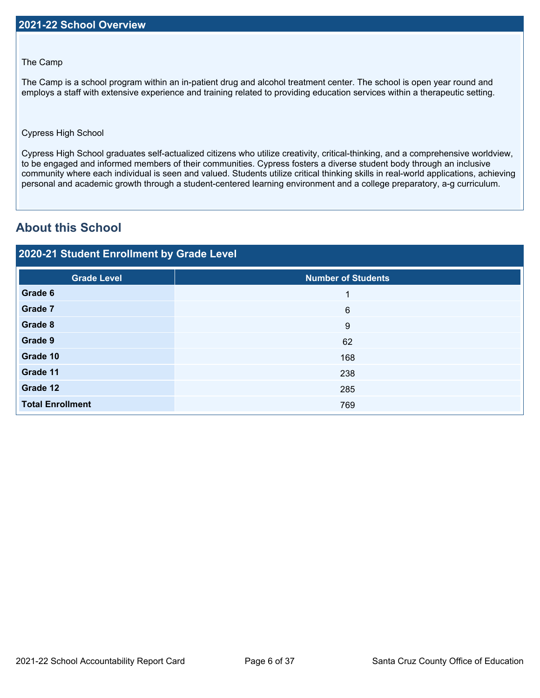#### The Camp

The Camp is a school program within an in-patient drug and alcohol treatment center. The school is open year round and employs a staff with extensive experience and training related to providing education services within a therapeutic setting.

#### Cypress High School

Cypress High School graduates self-actualized citizens who utilize creativity, critical-thinking, and a comprehensive worldview, to be engaged and informed members of their communities. Cypress fosters a diverse student body through an inclusive community where each individual is seen and valued. Students utilize critical thinking skills in real-world applications, achieving personal and academic growth through a student-centered learning environment and a college preparatory, a-g curriculum.

## **About this School**

### **2020-21 Student Enrollment by Grade Level**

| <b>Grade Level</b>      | Number of Students |
|-------------------------|--------------------|
| Grade 6                 | 1                  |
| Grade 7                 | $6\phantom{1}6$    |
| Grade 8                 | 9                  |
| Grade 9                 | 62                 |
| Grade 10                | 168                |
| Grade 11                | 238                |
| Grade 12                | 285                |
| <b>Total Enrollment</b> | 769                |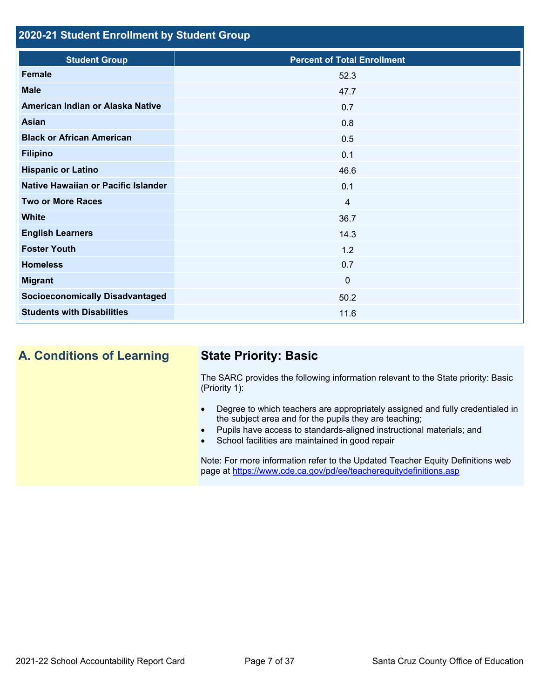## **2020-21 Student Enrollment by Student Group**

| <b>Student Group</b>                   | <b>Percent of Total Enrollment</b> |
|----------------------------------------|------------------------------------|
| Female                                 | 52.3                               |
| <b>Male</b>                            | 47.7                               |
| American Indian or Alaska Native       | 0.7                                |
| Asian                                  | 0.8                                |
| <b>Black or African American</b>       | 0.5                                |
| <b>Filipino</b>                        | 0.1                                |
| <b>Hispanic or Latino</b>              | 46.6                               |
| Native Hawaiian or Pacific Islander    | 0.1                                |
| <b>Two or More Races</b>               | 4                                  |
| <b>White</b>                           | 36.7                               |
| <b>English Learners</b>                | 14.3                               |
| <b>Foster Youth</b>                    | 1.2                                |
| <b>Homeless</b>                        | 0.7                                |
| <b>Migrant</b>                         | $\mathbf 0$                        |
| <b>Socioeconomically Disadvantaged</b> | 50.2                               |
| <b>Students with Disabilities</b>      | 11.6                               |

**A. Conditions of Learning State Priority: Basic**

The SARC provides the following information relevant to the State priority: Basic (Priority 1):

- Degree to which teachers are appropriately assigned and fully credentialed in the subject area and for the pupils they are teaching;
- Pupils have access to standards-aligned instructional materials; and
- School facilities are maintained in good repair

Note: For more information refer to the Updated Teacher Equity Definitions web page at <https://www.cde.ca.gov/pd/ee/teacherequitydefinitions.asp>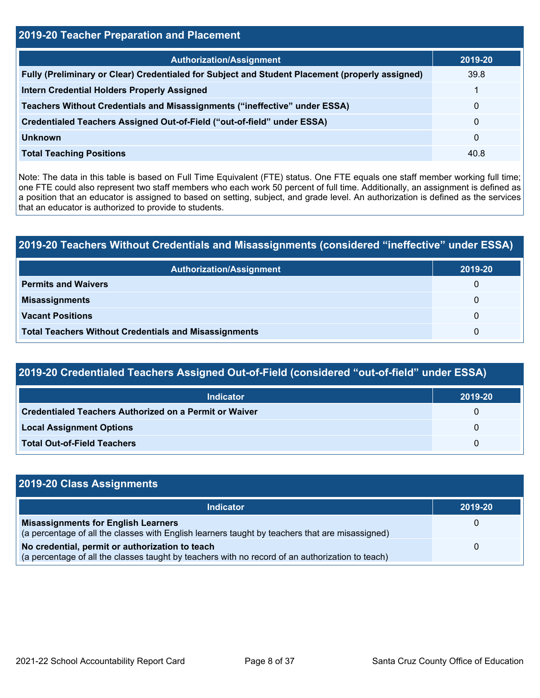| 2019-20 Teacher Preparation and Placement                                                       |              |  |  |  |
|-------------------------------------------------------------------------------------------------|--------------|--|--|--|
| <b>Authorization/Assignment</b>                                                                 | 2019-20      |  |  |  |
| Fully (Preliminary or Clear) Credentialed for Subject and Student Placement (properly assigned) | 39.8         |  |  |  |
| <b>Intern Credential Holders Properly Assigned</b>                                              |              |  |  |  |
| Teachers Without Credentials and Misassignments ("ineffective" under ESSA)                      | $\mathbf{0}$ |  |  |  |
| Credentialed Teachers Assigned Out-of-Field ("out-of-field" under ESSA)                         | $\mathbf{0}$ |  |  |  |
| <b>Unknown</b>                                                                                  | $\mathbf{0}$ |  |  |  |
| <b>Total Teaching Positions</b>                                                                 | 40.8         |  |  |  |

Note: The data in this table is based on Full Time Equivalent (FTE) status. One FTE equals one staff member working full time; one FTE could also represent two staff members who each work 50 percent of full time. Additionally, an assignment is defined as a position that an educator is assigned to based on setting, subject, and grade level. An authorization is defined as the services that an educator is authorized to provide to students.

## **2019-20 Teachers Without Credentials and Misassignments (considered "ineffective" under ESSA)**

| <b>Authorization/Assignment</b>                              | 2019-20 |
|--------------------------------------------------------------|---------|
| <b>Permits and Waivers</b>                                   | 0       |
| <b>Misassignments</b>                                        | 0       |
| <b>Vacant Positions</b>                                      | 0       |
| <b>Total Teachers Without Credentials and Misassignments</b> | 0       |

## **2019-20 Credentialed Teachers Assigned Out-of-Field (considered "out-of-field" under ESSA)**

| <b>Indicator</b>                                       | 2019-20  |
|--------------------------------------------------------|----------|
| Credentialed Teachers Authorized on a Permit or Waiver | $\Omega$ |
| <b>Local Assignment Options</b>                        | $\Omega$ |
| <b>Total Out-of-Field Teachers</b>                     | 0        |

| 2019-20 Class Assignments                                                                                                                           |         |
|-----------------------------------------------------------------------------------------------------------------------------------------------------|---------|
| <b>Indicator</b>                                                                                                                                    | 2019-20 |
| <b>Misassignments for English Learners</b><br>(a percentage of all the classes with English learners taught by teachers that are misassigned)       | 0       |
| No credential, permit or authorization to teach<br>(a percentage of all the classes taught by teachers with no record of an authorization to teach) | 0       |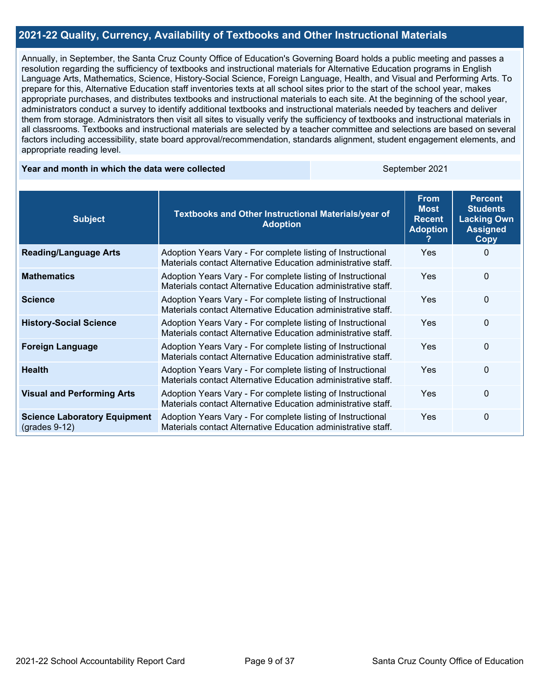#### **2021-22 Quality, Currency, Availability of Textbooks and Other Instructional Materials**

Annually, in September, the Santa Cruz County Office of Education's Governing Board holds a public meeting and passes a resolution regarding the sufficiency of textbooks and instructional materials for Alternative Education programs in English Language Arts, Mathematics, Science, History-Social Science, Foreign Language, Health, and Visual and Performing Arts. To prepare for this, Alternative Education staff inventories texts at all school sites prior to the start of the school year, makes appropriate purchases, and distributes textbooks and instructional materials to each site. At the beginning of the school year, administrators conduct a survey to identify additional textbooks and instructional materials needed by teachers and deliver them from storage. Administrators then visit all sites to visually verify the sufficiency of textbooks and instructional materials in all classrooms. Textbooks and instructional materials are selected by a teacher committee and selections are based on several factors including accessibility, state board approval/recommendation, standards alignment, student engagement elements, and appropriate reading level.

#### **Year and month in which the data were collected September 2021** September 2021

| <b>Subject</b>                                         | Textbooks and Other Instructional Materials/year of<br><b>Adoption</b>                                                       | <b>From</b><br><b>Most</b><br><b>Recent</b><br><b>Adoption</b> | <b>Percent</b><br><b>Students</b><br><b>Lacking Own</b><br><b>Assigned</b><br>Copy |
|--------------------------------------------------------|------------------------------------------------------------------------------------------------------------------------------|----------------------------------------------------------------|------------------------------------------------------------------------------------|
| <b>Reading/Language Arts</b>                           | Adoption Years Vary - For complete listing of Instructional<br>Materials contact Alternative Education administrative staff. | <b>Yes</b>                                                     | 0                                                                                  |
| <b>Mathematics</b>                                     | Adoption Years Vary - For complete listing of Instructional<br>Materials contact Alternative Education administrative staff. | <b>Yes</b>                                                     | $\Omega$                                                                           |
| <b>Science</b>                                         | Adoption Years Vary - For complete listing of Instructional<br>Materials contact Alternative Education administrative staff. | <b>Yes</b>                                                     | $\Omega$                                                                           |
| <b>History-Social Science</b>                          | Adoption Years Vary - For complete listing of Instructional<br>Materials contact Alternative Education administrative staff. | Yes                                                            | $\Omega$                                                                           |
| <b>Foreign Language</b>                                | Adoption Years Vary - For complete listing of Instructional<br>Materials contact Alternative Education administrative staff. | <b>Yes</b>                                                     | $\Omega$                                                                           |
| <b>Health</b>                                          | Adoption Years Vary - For complete listing of Instructional<br>Materials contact Alternative Education administrative staff. | <b>Yes</b>                                                     | $\Omega$                                                                           |
| <b>Visual and Performing Arts</b>                      | Adoption Years Vary - For complete listing of Instructional<br>Materials contact Alternative Education administrative staff. | <b>Yes</b>                                                     | $\Omega$                                                                           |
| <b>Science Laboratory Equipment</b><br>$(grades 9-12)$ | Adoption Years Vary - For complete listing of Instructional<br>Materials contact Alternative Education administrative staff. | Yes                                                            | $\Omega$                                                                           |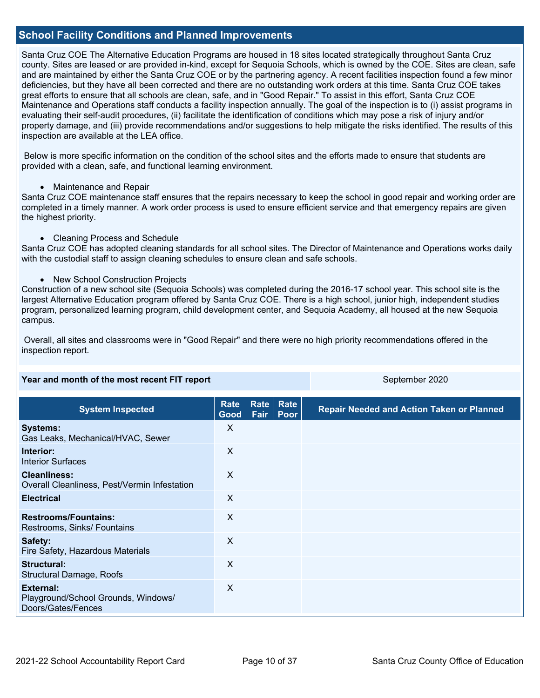#### **School Facility Conditions and Planned Improvements**

Santa Cruz COE The Alternative Education Programs are housed in 18 sites located strategically throughout Santa Cruz county. Sites are leased or are provided in-kind, except for Sequoia Schools, which is owned by the COE. Sites are clean, safe and are maintained by either the Santa Cruz COE or by the partnering agency. A recent facilities inspection found a few minor deficiencies, but they have all been corrected and there are no outstanding work orders at this time. Santa Cruz COE takes great efforts to ensure that all schools are clean, safe, and in "Good Repair." To assist in this effort, Santa Cruz COE Maintenance and Operations staff conducts a facility inspection annually. The goal of the inspection is to (i) assist programs in evaluating their self-audit procedures, (ii) facilitate the identification of conditions which may pose a risk of injury and/or property damage, and (iii) provide recommendations and/or suggestions to help mitigate the risks identified. The results of this inspection are available at the LEA office.

 Below is more specific information on the condition of the school sites and the efforts made to ensure that students are provided with a clean, safe, and functional learning environment.

• Maintenance and Repair

Santa Cruz COE maintenance staff ensures that the repairs necessary to keep the school in good repair and working order are completed in a timely manner. A work order process is used to ensure efficient service and that emergency repairs are given the highest priority.

• Cleaning Process and Schedule

Santa Cruz COE has adopted cleaning standards for all school sites. The Director of Maintenance and Operations works daily with the custodial staff to assign cleaning schedules to ensure clean and safe schools.

• New School Construction Projects

Construction of a new school site (Sequoia Schools) was completed during the 2016-17 school year. This school site is the largest Alternative Education program offered by Santa Cruz COE. There is a high school, junior high, independent studies program, personalized learning program, child development center, and Sequoia Academy, all housed at the new Sequoia campus.

 Overall, all sites and classrooms were in "Good Repair" and there were no high priority recommendations offered in the inspection report.

| Year and month of the most recent FIT report                                  |                         |              | September 2020 |                                                  |  |  |
|-------------------------------------------------------------------------------|-------------------------|--------------|----------------|--------------------------------------------------|--|--|
| <b>System Inspected</b>                                                       | <b>Rate</b><br>Good $ $ | Rate<br>Fair | Rate<br>Poor   | <b>Repair Needed and Action Taken or Planned</b> |  |  |
| <b>Systems:</b><br>Gas Leaks, Mechanical/HVAC, Sewer                          | X                       |              |                |                                                  |  |  |
| Interior:<br><b>Interior Surfaces</b>                                         | X                       |              |                |                                                  |  |  |
| <b>Cleanliness:</b><br>Overall Cleanliness, Pest/Vermin Infestation           | X                       |              |                |                                                  |  |  |
| <b>Electrical</b>                                                             | X                       |              |                |                                                  |  |  |
| <b>Restrooms/Fountains:</b><br>Restrooms, Sinks/ Fountains                    | X                       |              |                |                                                  |  |  |
| Safety:<br>Fire Safety, Hazardous Materials                                   | X                       |              |                |                                                  |  |  |
| <b>Structural:</b><br>Structural Damage, Roofs                                | $\times$                |              |                |                                                  |  |  |
| <b>External:</b><br>Playground/School Grounds, Windows/<br>Doors/Gates/Fences | X                       |              |                |                                                  |  |  |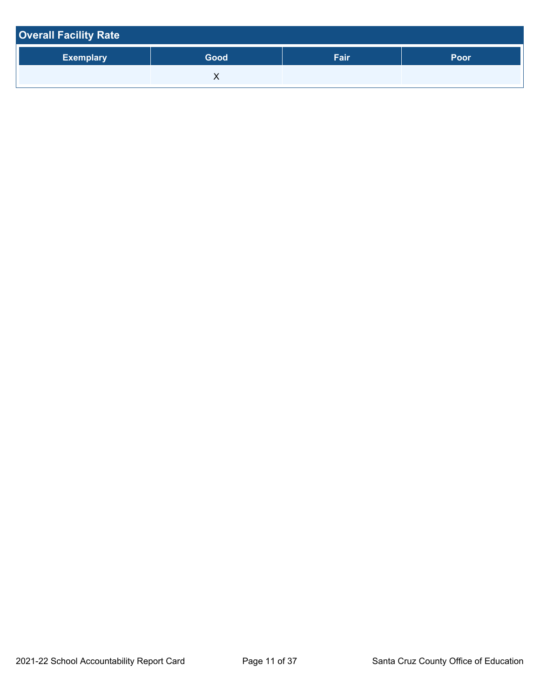| <b>Overall Facility Rate</b> |      |      |      |  |  |  |
|------------------------------|------|------|------|--|--|--|
| <b>Exemplary</b>             | Good | Fair | Poor |  |  |  |
|                              |      |      |      |  |  |  |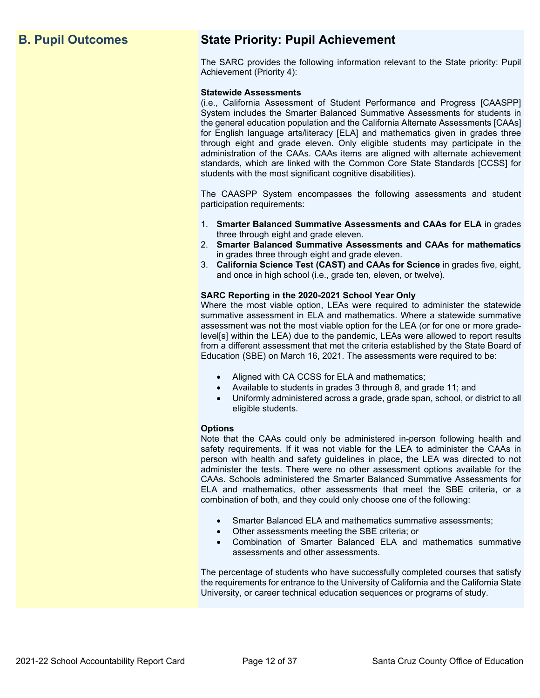## **B. Pupil Outcomes State Priority: Pupil Achievement**

The SARC provides the following information relevant to the State priority: Pupil Achievement (Priority 4):

#### **Statewide Assessments**

(i.e., California Assessment of Student Performance and Progress [CAASPP] System includes the Smarter Balanced Summative Assessments for students in the general education population and the California Alternate Assessments [CAAs] for English language arts/literacy [ELA] and mathematics given in grades three through eight and grade eleven. Only eligible students may participate in the administration of the CAAs. CAAs items are aligned with alternate achievement standards, which are linked with the Common Core State Standards [CCSS] for students with the most significant cognitive disabilities).

The CAASPP System encompasses the following assessments and student participation requirements:

- 1. **Smarter Balanced Summative Assessments and CAAs for ELA** in grades three through eight and grade eleven.
- 2. **Smarter Balanced Summative Assessments and CAAs for mathematics** in grades three through eight and grade eleven.
- 3. **California Science Test (CAST) and CAAs for Science** in grades five, eight, and once in high school (i.e., grade ten, eleven, or twelve).

#### **SARC Reporting in the 2020-2021 School Year Only**

Where the most viable option, LEAs were required to administer the statewide summative assessment in ELA and mathematics. Where a statewide summative assessment was not the most viable option for the LEA (or for one or more gradelevel[s] within the LEA) due to the pandemic, LEAs were allowed to report results from a different assessment that met the criteria established by the State Board of Education (SBE) on March 16, 2021. The assessments were required to be:

- Aligned with CA CCSS for ELA and mathematics;
- Available to students in grades 3 through 8, and grade 11; and
- Uniformly administered across a grade, grade span, school, or district to all eligible students.

#### **Options**

Note that the CAAs could only be administered in-person following health and safety requirements. If it was not viable for the LEA to administer the CAAs in person with health and safety guidelines in place, the LEA was directed to not administer the tests. There were no other assessment options available for the CAAs. Schools administered the Smarter Balanced Summative Assessments for ELA and mathematics, other assessments that meet the SBE criteria, or a combination of both, and they could only choose one of the following:

- Smarter Balanced ELA and mathematics summative assessments;
- Other assessments meeting the SBE criteria; or
- Combination of Smarter Balanced ELA and mathematics summative assessments and other assessments.

The percentage of students who have successfully completed courses that satisfy the requirements for entrance to the University of California and the California State University, or career technical education sequences or programs of study.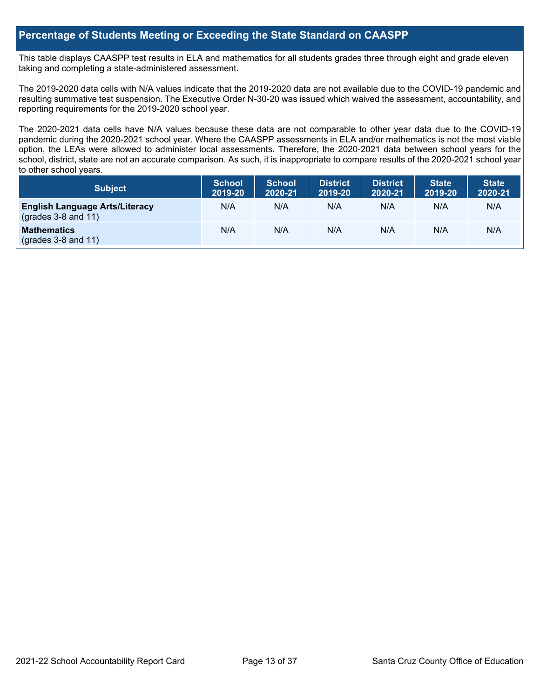#### **Percentage of Students Meeting or Exceeding the State Standard on CAASPP**

This table displays CAASPP test results in ELA and mathematics for all students grades three through eight and grade eleven taking and completing a state-administered assessment.

The 2019-2020 data cells with N/A values indicate that the 2019-2020 data are not available due to the COVID-19 pandemic and resulting summative test suspension. The Executive Order N-30-20 was issued which waived the assessment, accountability, and reporting requirements for the 2019-2020 school year.

The 2020-2021 data cells have N/A values because these data are not comparable to other year data due to the COVID-19 pandemic during the 2020-2021 school year. Where the CAASPP assessments in ELA and/or mathematics is not the most viable option, the LEAs were allowed to administer local assessments. Therefore, the 2020-2021 data between school years for the school, district, state are not an accurate comparison. As such, it is inappropriate to compare results of the 2020-2021 school year to other school years.

| Subject                                                              | <b>School</b><br>2019-20 | <b>School</b><br>2020-21 | <b>District</b><br>2019-20 | <b>District</b><br>2020-21 | <b>State</b><br>2019-20 | <b>State</b><br>2020-21 |
|----------------------------------------------------------------------|--------------------------|--------------------------|----------------------------|----------------------------|-------------------------|-------------------------|
| <b>English Language Arts/Literacy</b><br>$\left($ grades 3-8 and 11) | N/A                      | N/A                      | N/A                        | N/A                        | N/A                     | N/A                     |
| <b>Mathematics</b><br>$(grades 3-8 and 11)$                          | N/A                      | N/A                      | N/A                        | N/A                        | N/A                     | N/A                     |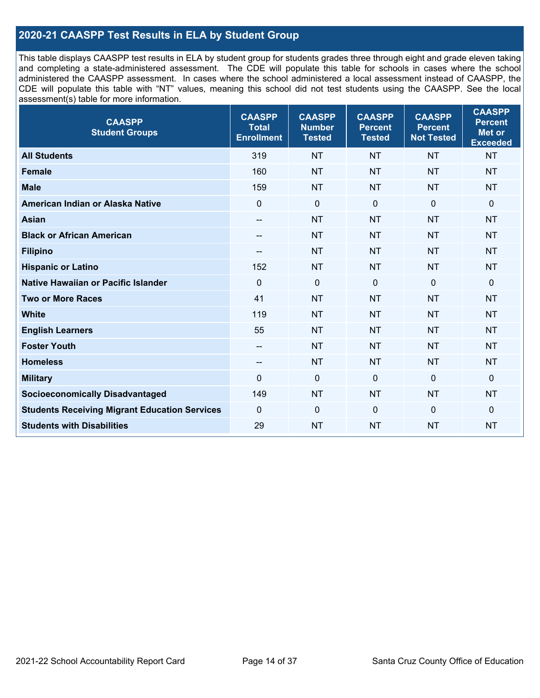## **2020-21 CAASPP Test Results in ELA by Student Group**

This table displays CAASPP test results in ELA by student group for students grades three through eight and grade eleven taking and completing a state-administered assessment. The CDE will populate this table for schools in cases where the school administered the CAASPP assessment. In cases where the school administered a local assessment instead of CAASPP, the CDE will populate this table with "NT" values, meaning this school did not test students using the CAASPP. See the local assessment(s) table for more information.

| <b>CAASPP</b><br><b>Student Groups</b>               | <b>CAASPP</b><br><b>Total</b><br><b>Enrollment</b> | <b>CAASPP</b><br><b>Number</b><br><b>Tested</b> | <b>CAASPP</b><br><b>Percent</b><br><b>Tested</b> | <b>CAASPP</b><br><b>Percent</b><br><b>Not Tested</b> | <b>CAASPP</b><br><b>Percent</b><br>Met or<br><b>Exceeded</b> |
|------------------------------------------------------|----------------------------------------------------|-------------------------------------------------|--------------------------------------------------|------------------------------------------------------|--------------------------------------------------------------|
| <b>All Students</b>                                  | 319                                                | <b>NT</b>                                       | <b>NT</b>                                        | <b>NT</b>                                            | <b>NT</b>                                                    |
| <b>Female</b>                                        | 160                                                | <b>NT</b>                                       | <b>NT</b>                                        | <b>NT</b>                                            | <b>NT</b>                                                    |
| <b>Male</b>                                          | 159                                                | <b>NT</b>                                       | <b>NT</b>                                        | <b>NT</b>                                            | <b>NT</b>                                                    |
| American Indian or Alaska Native                     | $\mathbf 0$                                        | $\mathbf 0$                                     | $\mathbf 0$                                      | $\overline{0}$                                       | 0                                                            |
| <b>Asian</b>                                         | $\overline{\phantom{a}}$                           | <b>NT</b>                                       | <b>NT</b>                                        | <b>NT</b>                                            | <b>NT</b>                                                    |
| <b>Black or African American</b>                     | $- -$                                              | <b>NT</b>                                       | <b>NT</b>                                        | <b>NT</b>                                            | <b>NT</b>                                                    |
| <b>Filipino</b>                                      | $\overline{\phantom{a}}$                           | <b>NT</b>                                       | <b>NT</b>                                        | <b>NT</b>                                            | <b>NT</b>                                                    |
| <b>Hispanic or Latino</b>                            | 152                                                | <b>NT</b>                                       | <b>NT</b>                                        | <b>NT</b>                                            | <b>NT</b>                                                    |
| <b>Native Hawaiian or Pacific Islander</b>           | $\mathbf 0$                                        | $\mathbf 0$                                     | $\mathbf 0$                                      | $\overline{0}$                                       | 0                                                            |
| <b>Two or More Races</b>                             | 41                                                 | <b>NT</b>                                       | <b>NT</b>                                        | <b>NT</b>                                            | <b>NT</b>                                                    |
| <b>White</b>                                         | 119                                                | <b>NT</b>                                       | <b>NT</b>                                        | <b>NT</b>                                            | <b>NT</b>                                                    |
| <b>English Learners</b>                              | 55                                                 | <b>NT</b>                                       | <b>NT</b>                                        | <b>NT</b>                                            | <b>NT</b>                                                    |
| <b>Foster Youth</b>                                  |                                                    | <b>NT</b>                                       | <b>NT</b>                                        | <b>NT</b>                                            | <b>NT</b>                                                    |
| <b>Homeless</b>                                      | $-\!$                                              | <b>NT</b>                                       | <b>NT</b>                                        | <b>NT</b>                                            | <b>NT</b>                                                    |
| <b>Military</b>                                      | $\mathbf 0$                                        | $\mathbf 0$                                     | $\mathbf 0$                                      | $\overline{0}$                                       | $\mathbf 0$                                                  |
| <b>Socioeconomically Disadvantaged</b>               | 149                                                | <b>NT</b>                                       | <b>NT</b>                                        | <b>NT</b>                                            | <b>NT</b>                                                    |
| <b>Students Receiving Migrant Education Services</b> | $\mathbf 0$                                        | $\mathbf 0$                                     | $\Omega$                                         | $\mathbf 0$                                          | 0                                                            |
| <b>Students with Disabilities</b>                    | 29                                                 | <b>NT</b>                                       | <b>NT</b>                                        | <b>NT</b>                                            | <b>NT</b>                                                    |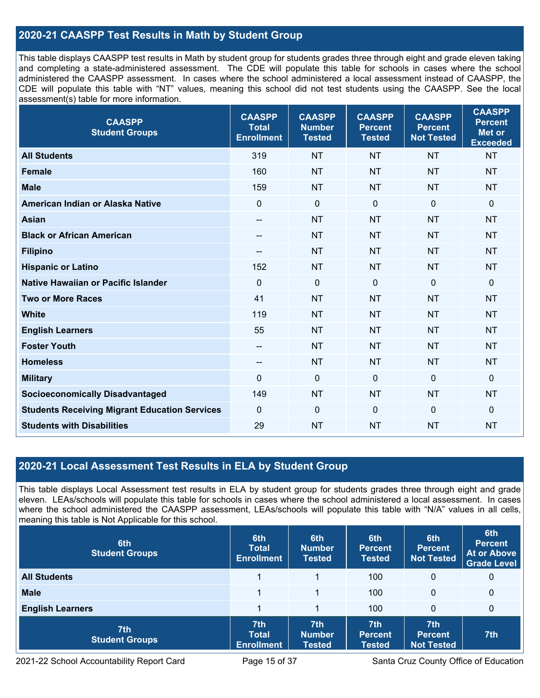## **2020-21 CAASPP Test Results in Math by Student Group**

This table displays CAASPP test results in Math by student group for students grades three through eight and grade eleven taking and completing a state-administered assessment. The CDE will populate this table for schools in cases where the school administered the CAASPP assessment. In cases where the school administered a local assessment instead of CAASPP, the CDE will populate this table with "NT" values, meaning this school did not test students using the CAASPP. See the local assessment(s) table for more information.

| <b>CAASPP</b><br><b>Student Groups</b>               | <b>CAASPP</b><br><b>Total</b><br><b>Enrollment</b> | <b>CAASPP</b><br><b>Number</b><br><b>Tested</b> | <b>CAASPP</b><br><b>Percent</b><br><b>Tested</b> | <b>CAASPP</b><br><b>Percent</b><br><b>Not Tested</b> | <b>CAASPP</b><br><b>Percent</b><br><b>Met or</b><br><b>Exceeded</b> |
|------------------------------------------------------|----------------------------------------------------|-------------------------------------------------|--------------------------------------------------|------------------------------------------------------|---------------------------------------------------------------------|
| <b>All Students</b>                                  | 319                                                | <b>NT</b>                                       | <b>NT</b>                                        | <b>NT</b>                                            | <b>NT</b>                                                           |
| <b>Female</b>                                        | 160                                                | <b>NT</b>                                       | <b>NT</b>                                        | <b>NT</b>                                            | <b>NT</b>                                                           |
| <b>Male</b>                                          | 159                                                | <b>NT</b>                                       | <b>NT</b>                                        | <b>NT</b>                                            | <b>NT</b>                                                           |
| American Indian or Alaska Native                     | $\mathbf 0$                                        | $\pmb{0}$                                       | $\mathbf 0$                                      | 0                                                    | $\pmb{0}$                                                           |
| <b>Asian</b>                                         | $\overline{\phantom{a}}$                           | <b>NT</b>                                       | <b>NT</b>                                        | <b>NT</b>                                            | <b>NT</b>                                                           |
| <b>Black or African American</b>                     | $\hspace{0.05cm}$                                  | <b>NT</b>                                       | <b>NT</b>                                        | <b>NT</b>                                            | <b>NT</b>                                                           |
| <b>Filipino</b>                                      | --                                                 | <b>NT</b>                                       | <b>NT</b>                                        | <b>NT</b>                                            | <b>NT</b>                                                           |
| <b>Hispanic or Latino</b>                            | 152                                                | <b>NT</b>                                       | <b>NT</b>                                        | <b>NT</b>                                            | <b>NT</b>                                                           |
| <b>Native Hawaiian or Pacific Islander</b>           | $\mathbf 0$                                        | $\mathbf 0$                                     | $\mathbf 0$                                      | $\overline{0}$                                       | $\mathbf 0$                                                         |
| <b>Two or More Races</b>                             | 41                                                 | <b>NT</b>                                       | <b>NT</b>                                        | <b>NT</b>                                            | <b>NT</b>                                                           |
| <b>White</b>                                         | 119                                                | <b>NT</b>                                       | <b>NT</b>                                        | <b>NT</b>                                            | <b>NT</b>                                                           |
| <b>English Learners</b>                              | 55                                                 | <b>NT</b>                                       | <b>NT</b>                                        | <b>NT</b>                                            | <b>NT</b>                                                           |
| <b>Foster Youth</b>                                  | --                                                 | <b>NT</b>                                       | <b>NT</b>                                        | <b>NT</b>                                            | <b>NT</b>                                                           |
| <b>Homeless</b>                                      | $-\!$ $\!-$                                        | <b>NT</b>                                       | <b>NT</b>                                        | <b>NT</b>                                            | <b>NT</b>                                                           |
| <b>Military</b>                                      | $\mathbf 0$                                        | $\pmb{0}$                                       | $\mathbf 0$                                      | $\mathbf 0$                                          | $\mathbf 0$                                                         |
| <b>Socioeconomically Disadvantaged</b>               | 149                                                | <b>NT</b>                                       | <b>NT</b>                                        | <b>NT</b>                                            | <b>NT</b>                                                           |
| <b>Students Receiving Migrant Education Services</b> | $\mathbf 0$                                        | $\mathbf 0$                                     | $\mathbf 0$                                      | 0                                                    | $\mathbf 0$                                                         |
| <b>Students with Disabilities</b>                    | 29                                                 | <b>NT</b>                                       | <b>NT</b>                                        | <b>NT</b>                                            | <b>NT</b>                                                           |

### **2020-21 Local Assessment Test Results in ELA by Student Group**

This table displays Local Assessment test results in ELA by student group for students grades three through eight and grade eleven. LEAs/schools will populate this table for schools in cases where the school administered a local assessment. In cases where the school administered the CAASPP assessment, LEAs/schools will populate this table with "N/A" values in all cells, meaning this table is Not Applicable for this school.

| 6th<br><b>Student Groups</b> | 6th<br><b>Total</b><br><b>Enrollment</b> | 6th<br><b>Number</b><br><b>Tested</b> | 6th<br><b>Percent</b><br><b>Tested</b>             | 6th<br>Percent<br><b>Not Tested</b>                    | 6th<br><b>Percent</b><br><b>At or Above</b><br>Grade Level |
|------------------------------|------------------------------------------|---------------------------------------|----------------------------------------------------|--------------------------------------------------------|------------------------------------------------------------|
| <b>All Students</b>          |                                          |                                       | 100                                                | 0                                                      | 0                                                          |
| <b>Male</b>                  |                                          | 1                                     | 100                                                | $\mathbf{0}$                                           | $\mathbf 0$                                                |
| <b>English Learners</b>      |                                          |                                       | 100                                                | 0                                                      | $\mathbf 0$                                                |
| 7th<br><b>Student Groups</b> | 7th<br><b>Total</b><br><b>Enrollment</b> | 7th<br><b>Number</b><br><b>Tested</b> | 7 <sup>th</sup><br><b>Percent</b><br><b>Tested</b> | 7 <sup>th</sup><br><b>Percent</b><br><b>Not Tested</b> | 7th                                                        |

2021-22 School Accountability Report Card Page 15 of 37 Santa Cruz County Office of Education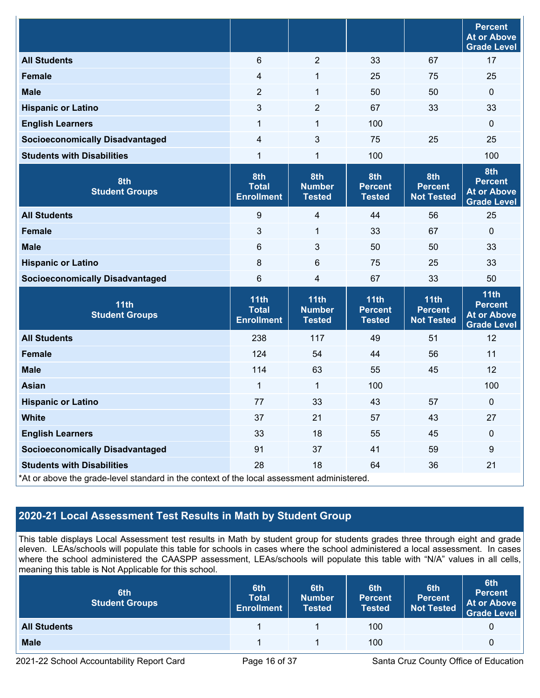|                                                                                                                                |                                           |                                        |                                         |                                             | <b>Percent</b><br><b>At or Above</b><br><b>Grade Level</b>         |
|--------------------------------------------------------------------------------------------------------------------------------|-------------------------------------------|----------------------------------------|-----------------------------------------|---------------------------------------------|--------------------------------------------------------------------|
| <b>All Students</b>                                                                                                            | 6                                         | $\overline{2}$                         | 33                                      | 67                                          | 17                                                                 |
| <b>Female</b>                                                                                                                  | 4                                         | $\mathbf{1}$                           | 25                                      | 75                                          | 25                                                                 |
| <b>Male</b>                                                                                                                    | $\overline{2}$                            | 1                                      | 50                                      | 50                                          | 0                                                                  |
| <b>Hispanic or Latino</b>                                                                                                      | 3                                         | $\overline{2}$                         | 67                                      | 33                                          | 33                                                                 |
| <b>English Learners</b>                                                                                                        | 1                                         | 1                                      | 100                                     |                                             | 0                                                                  |
| <b>Socioeconomically Disadvantaged</b>                                                                                         | 4                                         | $\mathfrak{S}$                         | 75                                      | 25                                          | 25                                                                 |
| <b>Students with Disabilities</b>                                                                                              | 1                                         | 1                                      | 100                                     |                                             | 100                                                                |
| 8th<br><b>Student Groups</b>                                                                                                   | 8th<br><b>Total</b><br><b>Enrollment</b>  | 8th<br><b>Number</b><br><b>Tested</b>  | 8th<br><b>Percent</b><br><b>Tested</b>  | 8th<br><b>Percent</b><br><b>Not Tested</b>  | 8th<br><b>Percent</b><br><b>At or Above</b><br><b>Grade Level</b>  |
| <b>All Students</b>                                                                                                            | 9                                         | $\overline{\mathbf{4}}$                | 44                                      | 56                                          | 25                                                                 |
| <b>Female</b>                                                                                                                  | 3                                         | 1                                      | 33                                      | 67                                          | 0                                                                  |
| <b>Male</b>                                                                                                                    | 6                                         | $\mathfrak{S}$                         | 50                                      | 50                                          | 33                                                                 |
| <b>Hispanic or Latino</b>                                                                                                      | 8                                         | 6                                      | 75                                      | 25                                          | 33                                                                 |
| <b>Socioeconomically Disadvantaged</b>                                                                                         | 6                                         | 4                                      | 67                                      | 33                                          | 50                                                                 |
| 11th<br><b>Student Groups</b>                                                                                                  | 11th<br><b>Total</b><br><b>Enrollment</b> | 11th<br><b>Number</b><br><b>Tested</b> | 11th<br><b>Percent</b><br><b>Tested</b> | 11th<br><b>Percent</b><br><b>Not Tested</b> | 11th<br><b>Percent</b><br><b>At or Above</b><br><b>Grade Level</b> |
| <b>All Students</b>                                                                                                            | 238                                       | 117                                    | 49                                      | 51                                          | 12                                                                 |
| <b>Female</b>                                                                                                                  | 124                                       | 54                                     | 44                                      | 56                                          | 11                                                                 |
| <b>Male</b>                                                                                                                    | 114                                       | 63                                     | 55                                      | 45                                          | 12                                                                 |
| <b>Asian</b>                                                                                                                   | 1                                         | 1                                      | 100                                     |                                             | 100                                                                |
| <b>Hispanic or Latino</b>                                                                                                      | 77                                        | 33                                     | 43                                      | 57                                          | 0                                                                  |
| <b>White</b>                                                                                                                   | 37                                        | 21                                     | 57                                      | 43                                          | 27                                                                 |
| <b>English Learners</b>                                                                                                        | 33                                        | 18                                     | 55                                      | 45                                          | $\pmb{0}$                                                          |
| <b>Socioeconomically Disadvantaged</b>                                                                                         | 91                                        | 37                                     | 41                                      | 59                                          | $\boldsymbol{9}$                                                   |
| <b>Students with Disabilities</b><br>At or above the orade-level attandard in the context of the local assessment administered | 28                                        | 18                                     | 64                                      | 36                                          | 21                                                                 |

At or above the grade-level standard in the context of the local assessment administered

## **2020-21 Local Assessment Test Results in Math by Student Group**

This table displays Local Assessment test results in Math by student group for students grades three through eight and grade eleven. LEAs/schools will populate this table for schools in cases where the school administered a local assessment. In cases where the school administered the CAASPP assessment, LEAs/schools will populate this table with "N/A" values in all cells, meaning this table is Not Applicable for this school.

| 6th<br><b>Student Groups</b> | 6th<br><b>Total</b><br><b>Enrollment</b> | 6th<br><b>Number</b><br><b>Tested</b> | 6th<br><b>Percent</b><br><b>Tested</b> | 6th<br><b>Percent</b><br><b>Not Tested</b> | 6th<br><b>Percent</b><br><b>At or Above</b><br><b>Grade Level</b> |
|------------------------------|------------------------------------------|---------------------------------------|----------------------------------------|--------------------------------------------|-------------------------------------------------------------------|
| <b>All Students</b>          |                                          |                                       | 100                                    |                                            |                                                                   |
| <b>Male</b>                  |                                          |                                       | 100                                    |                                            |                                                                   |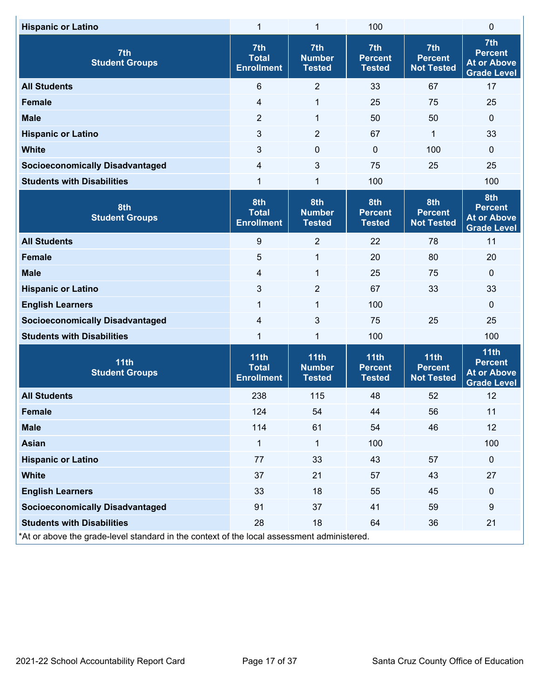| <b>Hispanic or Latino</b>                                                                  | 1                                         | 1                                      | 100                                     |                                                        | 0                                                                  |
|--------------------------------------------------------------------------------------------|-------------------------------------------|----------------------------------------|-----------------------------------------|--------------------------------------------------------|--------------------------------------------------------------------|
| 7th<br><b>Student Groups</b>                                                               | 7th<br><b>Total</b><br><b>Enrollment</b>  | 7th<br><b>Number</b><br><b>Tested</b>  | 7th<br><b>Percent</b><br><b>Tested</b>  | 7 <sup>th</sup><br><b>Percent</b><br><b>Not Tested</b> | 7th<br><b>Percent</b><br><b>At or Above</b><br><b>Grade Level</b>  |
| <b>All Students</b>                                                                        | $6\phantom{a}$                            | $\sqrt{2}$                             | 33                                      | 67                                                     | 17                                                                 |
| <b>Female</b>                                                                              | 4                                         | 1                                      | 25                                      | 75                                                     | 25                                                                 |
| <b>Male</b>                                                                                | $\overline{2}$                            | 1                                      | 50                                      | 50                                                     | $\pmb{0}$                                                          |
| <b>Hispanic or Latino</b>                                                                  | 3                                         | $\overline{2}$                         | 67                                      | 1                                                      | 33                                                                 |
| <b>White</b>                                                                               | 3                                         | $\pmb{0}$                              | $\mathbf 0$                             | 100                                                    | 0                                                                  |
| <b>Socioeconomically Disadvantaged</b>                                                     | 4                                         | 3                                      | 75                                      | 25                                                     | 25                                                                 |
| <b>Students with Disabilities</b>                                                          | 1                                         | 1                                      | 100                                     |                                                        | 100                                                                |
| 8th<br><b>Student Groups</b>                                                               | 8th<br><b>Total</b><br><b>Enrollment</b>  | 8th<br><b>Number</b><br><b>Tested</b>  | 8th<br><b>Percent</b><br><b>Tested</b>  | 8th<br><b>Percent</b><br><b>Not Tested</b>             | 8th<br><b>Percent</b><br><b>At or Above</b><br><b>Grade Level</b>  |
| <b>All Students</b>                                                                        | 9                                         | $\overline{2}$                         | 22                                      | 78                                                     | 11                                                                 |
| <b>Female</b>                                                                              | 5                                         | 1                                      | 20                                      | 80                                                     | 20                                                                 |
| <b>Male</b>                                                                                | $\overline{\mathbf{4}}$                   | $\mathbf{1}$                           | 25                                      | 75                                                     | 0                                                                  |
| <b>Hispanic or Latino</b>                                                                  | 3                                         | $\overline{2}$                         | 67                                      | 33                                                     | 33                                                                 |
| <b>English Learners</b>                                                                    | 1                                         | $\mathbf{1}$                           | 100                                     |                                                        | 0                                                                  |
| <b>Socioeconomically Disadvantaged</b>                                                     | 4                                         | 3                                      | 75                                      | 25                                                     | 25                                                                 |
| <b>Students with Disabilities</b>                                                          | 1                                         | 1                                      | 100                                     |                                                        | 100                                                                |
| 11th<br><b>Student Groups</b>                                                              | 11th<br><b>Total</b><br><b>Enrollment</b> | 11th<br><b>Number</b><br><b>Tested</b> | 11th<br><b>Percent</b><br><b>Tested</b> | 11th<br><b>Percent</b><br><b>Not Tested</b>            | 11th<br><b>Percent</b><br><b>At or Above</b><br><b>Grade Level</b> |
| <b>All Students</b>                                                                        | 238                                       | 115                                    | 48                                      | 52                                                     | 12                                                                 |
| <b>Female</b>                                                                              | 124                                       | 54                                     | 44                                      | 56                                                     | 11                                                                 |
| <b>Male</b>                                                                                | 114                                       | 61                                     | 54                                      | 46                                                     | 12                                                                 |
| <b>Asian</b>                                                                               | 1                                         | 1                                      | 100                                     |                                                        | 100                                                                |
| <b>Hispanic or Latino</b>                                                                  | 77                                        | 33                                     | 43                                      | 57                                                     | $\mathbf 0$                                                        |
| <b>White</b>                                                                               | 37                                        | 21                                     | 57                                      | 43                                                     | 27                                                                 |
| <b>English Learners</b>                                                                    | 33                                        | 18                                     | 55                                      | 45                                                     | $\mathbf 0$                                                        |
| <b>Socioeconomically Disadvantaged</b>                                                     | 91                                        | 37                                     | 41                                      | 59                                                     | $\boldsymbol{9}$                                                   |
| <b>Students with Disabilities</b>                                                          | 28                                        | 18                                     | 64                                      | 36                                                     | 21                                                                 |
| *At or above the grade-level standard in the context of the local assessment administered. |                                           |                                        |                                         |                                                        |                                                                    |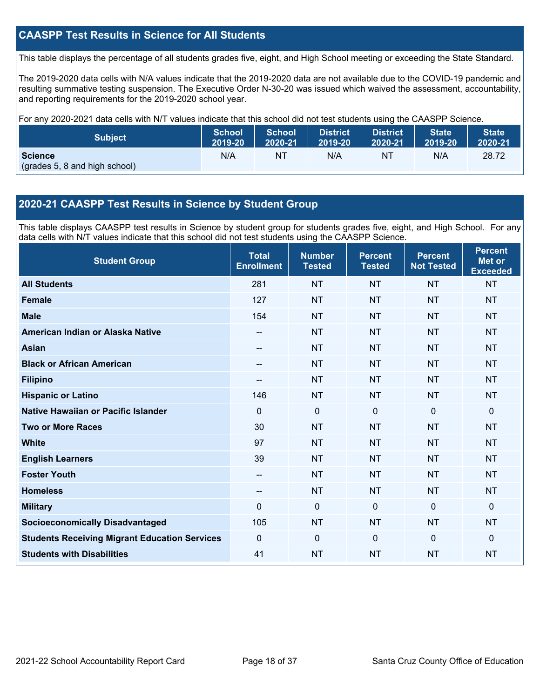## **CAASPP Test Results in Science for All Students**

This table displays the percentage of all students grades five, eight, and High School meeting or exceeding the State Standard.

The 2019-2020 data cells with N/A values indicate that the 2019-2020 data are not available due to the COVID-19 pandemic and resulting summative testing suspension. The Executive Order N-30-20 was issued which waived the assessment, accountability, and reporting requirements for the 2019-2020 school year.

For any 2020-2021 data cells with N/T values indicate that this school did not test students using the CAASPP Science.

| <b>Subject</b>                                  | <b>School</b> | <b>School</b> | <b>District</b> | District | State   | State <sup>1</sup> |
|-------------------------------------------------|---------------|---------------|-----------------|----------|---------|--------------------|
|                                                 | 2019-20       | 2020-21       | 2019-20         | 2020-21  | 2019-20 | 2020-21            |
| <b>Science</b><br>(grades 5, 8 and high school) | N/A           | ΝT            | N/A             | NT       | N/A     | 28.72              |

#### **2020-21 CAASPP Test Results in Science by Student Group**

This table displays CAASPP test results in Science by student group for students grades five, eight, and High School. For any data cells with N/T values indicate that this school did not test students using the CAASPP Science.

| <b>Student Group</b>                                 | <b>Total</b><br><b>Enrollment</b> | <b>Number</b><br><b>Tested</b> | <b>Percent</b><br><b>Tested</b> | <b>Percent</b><br><b>Not Tested</b> | <b>Percent</b><br><b>Met or</b><br><b>Exceeded</b> |
|------------------------------------------------------|-----------------------------------|--------------------------------|---------------------------------|-------------------------------------|----------------------------------------------------|
| <b>All Students</b>                                  | 281                               | <b>NT</b>                      | <b>NT</b>                       | <b>NT</b>                           | <b>NT</b>                                          |
| <b>Female</b>                                        | 127                               | <b>NT</b>                      | <b>NT</b>                       | <b>NT</b>                           | <b>NT</b>                                          |
| <b>Male</b>                                          | 154                               | <b>NT</b>                      | <b>NT</b>                       | <b>NT</b>                           | <b>NT</b>                                          |
| American Indian or Alaska Native                     | $\hspace{0.05cm}$                 | <b>NT</b>                      | <b>NT</b>                       | <b>NT</b>                           | <b>NT</b>                                          |
| <b>Asian</b>                                         | --                                | <b>NT</b>                      | <b>NT</b>                       | <b>NT</b>                           | <b>NT</b>                                          |
| <b>Black or African American</b>                     | $-$                               | <b>NT</b>                      | <b>NT</b>                       | <b>NT</b>                           | <b>NT</b>                                          |
| <b>Filipino</b>                                      |                                   | <b>NT</b>                      | <b>NT</b>                       | <b>NT</b>                           | <b>NT</b>                                          |
| <b>Hispanic or Latino</b>                            | 146                               | <b>NT</b>                      | <b>NT</b>                       | NT                                  | <b>NT</b>                                          |
| Native Hawaiian or Pacific Islander                  | $\Omega$                          | $\overline{0}$                 | $\Omega$                        | $\overline{0}$                      | $\mathbf{0}$                                       |
| <b>Two or More Races</b>                             | 30                                | <b>NT</b>                      | <b>NT</b>                       | <b>NT</b>                           | <b>NT</b>                                          |
| <b>White</b>                                         | 97                                | <b>NT</b>                      | <b>NT</b>                       | <b>NT</b>                           | <b>NT</b>                                          |
| <b>English Learners</b>                              | 39                                | <b>NT</b>                      | <b>NT</b>                       | <b>NT</b>                           | <b>NT</b>                                          |
| <b>Foster Youth</b>                                  | $- -$                             | <b>NT</b>                      | <b>NT</b>                       | <b>NT</b>                           | <b>NT</b>                                          |
| <b>Homeless</b>                                      | --                                | <b>NT</b>                      | <b>NT</b>                       | <b>NT</b>                           | <b>NT</b>                                          |
| <b>Military</b>                                      | $\Omega$                          | 0                              | $\mathbf{0}$                    | $\mathbf{0}$                        | $\mathbf{0}$                                       |
| <b>Socioeconomically Disadvantaged</b>               | 105                               | <b>NT</b>                      | <b>NT</b>                       | <b>NT</b>                           | <b>NT</b>                                          |
| <b>Students Receiving Migrant Education Services</b> | 0                                 | $\Omega$                       | $\Omega$                        | $\Omega$                            | $\mathbf{0}$                                       |
| <b>Students with Disabilities</b>                    | 41                                | <b>NT</b>                      | <b>NT</b>                       | <b>NT</b>                           | <b>NT</b>                                          |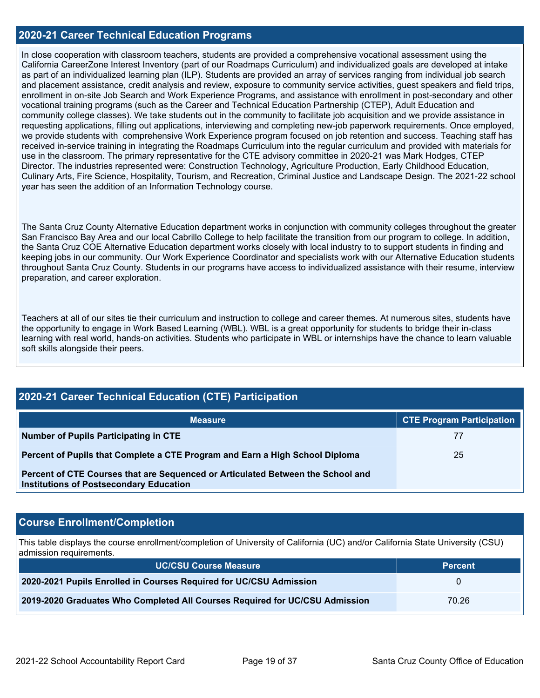#### **2020-21 Career Technical Education Programs**

In close cooperation with classroom teachers, students are provided a comprehensive vocational assessment using the California CareerZone Interest Inventory (part of our Roadmaps Curriculum) and individualized goals are developed at intake as part of an individualized learning plan (ILP). Students are provided an array of services ranging from individual job search and placement assistance, credit analysis and review, exposure to community service activities, guest speakers and field trips, enrollment in on-site Job Search and Work Experience Programs, and assistance with enrollment in post-secondary and other vocational training programs (such as the Career and Technical Education Partnership (CTEP), Adult Education and community college classes). We take students out in the community to facilitate job acquisition and we provide assistance in requesting applications, filling out applications, interviewing and completing new-job paperwork requirements. Once employed, we provide students with comprehensive Work Experience program focused on job retention and success. Teaching staff has received in-service training in integrating the Roadmaps Curriculum into the regular curriculum and provided with materials for use in the classroom. The primary representative for the CTE advisory committee in 2020-21 was Mark Hodges, CTEP Director. The industries represented were: Construction Technology, Agriculture Production, Early Childhood Education, Culinary Arts, Fire Science, Hospitality, Tourism, and Recreation, Criminal Justice and Landscape Design. The 2021-22 school year has seen the addition of an Information Technology course.

The Santa Cruz County Alternative Education department works in conjunction with community colleges throughout the greater San Francisco Bay Area and our local Cabrillo College to help facilitate the transition from our program to college. In addition, the Santa Cruz COE Alternative Education department works closely with local industry to to support students in finding and keeping jobs in our community. Our Work Experience Coordinator and specialists work with our Alternative Education students throughout Santa Cruz County. Students in our programs have access to individualized assistance with their resume, interview preparation, and career exploration.

Teachers at all of our sites tie their curriculum and instruction to college and career themes. At numerous sites, students have the opportunity to engage in Work Based Learning (WBL). WBL is a great opportunity for students to bridge their in-class learning with real world, hands-on activities. Students who participate in WBL or internships have the chance to learn valuable soft skills alongside their peers.

| 2020-21 Career Technical Education (CTE) Participation                                                                            |                                  |  |  |  |  |  |
|-----------------------------------------------------------------------------------------------------------------------------------|----------------------------------|--|--|--|--|--|
| <b>Measure</b>                                                                                                                    | <b>CTE Program Participation</b> |  |  |  |  |  |
| <b>Number of Pupils Participating in CTE</b>                                                                                      |                                  |  |  |  |  |  |
| Percent of Pupils that Complete a CTE Program and Earn a High School Diploma                                                      | 25                               |  |  |  |  |  |
| Percent of CTE Courses that are Sequenced or Articulated Between the School and<br><b>Institutions of Postsecondary Education</b> |                                  |  |  |  |  |  |

### **Course Enrollment/Completion**

This table displays the course enrollment/completion of University of California (UC) and/or California State University (CSU) admission requirements.

| <b>UC/CSU Course Measure</b>                                                | <b>Percent</b> |
|-----------------------------------------------------------------------------|----------------|
| 2020-2021 Pupils Enrolled in Courses Required for UC/CSU Admission          |                |
| 2019-2020 Graduates Who Completed All Courses Required for UC/CSU Admission | 70.26          |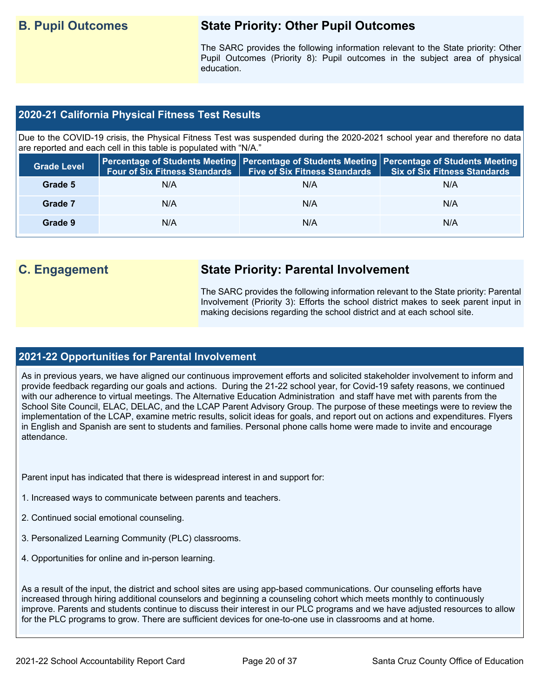## **B. Pupil Outcomes State Priority: Other Pupil Outcomes**

The SARC provides the following information relevant to the State priority: Other Pupil Outcomes (Priority 8): Pupil outcomes in the subject area of physical education.

### **2020-21 California Physical Fitness Test Results**

Due to the COVID-19 crisis, the Physical Fitness Test was suspended during the 2020-2021 school year and therefore no data are reported and each cell in this table is populated with "N/A."

| <b>Grade Level</b> | <b>Four of Six Fitness Standards</b> | Five of Six Fitness Standards   Six of Six Fitness Standards | Percentage of Students Meeting   Percentage of Students Meeting   Percentage of Students Meeting |
|--------------------|--------------------------------------|--------------------------------------------------------------|--------------------------------------------------------------------------------------------------|
| Grade 5            | N/A                                  | N/A                                                          | N/A                                                                                              |
| Grade 7            | N/A                                  | N/A                                                          | N/A                                                                                              |
| Grade 9            | N/A                                  | N/A                                                          | N/A                                                                                              |

## **C. Engagement State Priority: Parental Involvement**

The SARC provides the following information relevant to the State priority: Parental Involvement (Priority 3): Efforts the school district makes to seek parent input in making decisions regarding the school district and at each school site.

### **2021-22 Opportunities for Parental Involvement**

As in previous years, we have aligned our continuous improvement efforts and solicited stakeholder involvement to inform and provide feedback regarding our goals and actions. During the 21-22 school year, for Covid-19 safety reasons, we continued with our adherence to virtual meetings. The Alternative Education Administration and staff have met with parents from the School Site Council, ELAC, DELAC, and the LCAP Parent Advisory Group. The purpose of these meetings were to review the implementation of the LCAP, examine metric results, solicit ideas for goals, and report out on actions and expenditures. Flyers in English and Spanish are sent to students and families. Personal phone calls home were made to invite and encourage attendance.

Parent input has indicated that there is widespread interest in and support for:

- 1. Increased ways to communicate between parents and teachers.
- 2. Continued social emotional counseling.
- 3. Personalized Learning Community (PLC) classrooms.
- 4. Opportunities for online and in-person learning.

As a result of the input, the district and school sites are using app-based communications. Our counseling efforts have increased through hiring additional counselors and beginning a counseling cohort which meets monthly to continuously improve. Parents and students continue to discuss their interest in our PLC programs and we have adjusted resources to allow for the PLC programs to grow. There are sufficient devices for one-to-one use in classrooms and at home.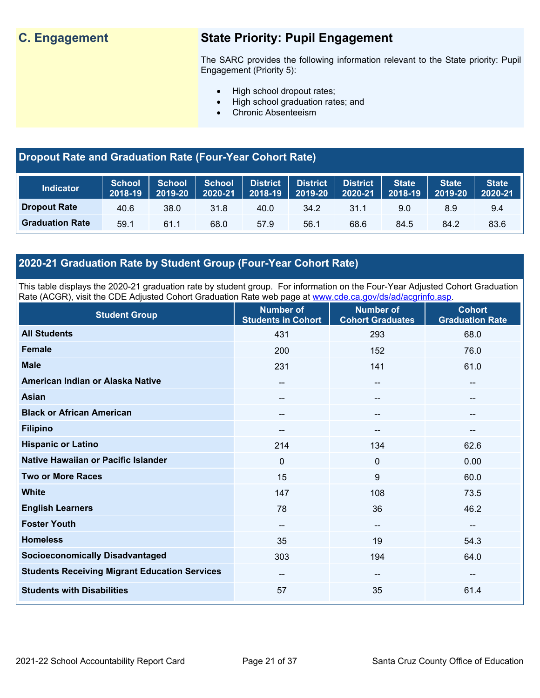## **C. Engagement State Priority: Pupil Engagement**

The SARC provides the following information relevant to the State priority: Pupil Engagement (Priority 5):

- High school dropout rates;
- High school graduation rates; and
- Chronic Absenteeism

## **Dropout Rate and Graduation Rate (Four-Year Cohort Rate)**

| <b>Indicator</b>       | School<br>2018-19 | <b>School</b><br>2019-20 | <b>School</b><br>2020-21 | <b>District</b><br>$2018 - 19$ | <b>District</b><br>2019-20 | <b>District</b><br>2020-21 | <b>State</b><br>2018-19 | <b>State</b><br>2019-20 | <b>State</b><br>2020-21 |
|------------------------|-------------------|--------------------------|--------------------------|--------------------------------|----------------------------|----------------------------|-------------------------|-------------------------|-------------------------|
| <b>Dropout Rate</b>    | 40.6              | 38.0                     | 31.8                     | 40.0                           | 34.2                       | 31.1                       | 9.0                     | 8.9                     | 9.4                     |
| <b>Graduation Rate</b> | 59.1              | 61.1                     | 68.0                     | 57.9                           | 56.1                       | 68.6                       | 84.5                    | 84.2                    | 83.6                    |

## **2020-21 Graduation Rate by Student Group (Four-Year Cohort Rate)**

This table displays the 2020-21 graduation rate by student group. For information on the Four-Year Adjusted Cohort Graduation Rate (ACGR), visit the CDE Adjusted Cohort Graduation Rate web page at [www.cde.ca.gov/ds/ad/acgrinfo.asp.](http://www.cde.ca.gov/ds/ad/acgrinfo.asp)

| <b>Student Group</b>                                 | <b>Number of</b><br><b>Students in Cohort</b> | <b>Number of</b><br><b>Cohort Graduates</b> | <b>Cohort</b><br><b>Graduation Rate</b> |
|------------------------------------------------------|-----------------------------------------------|---------------------------------------------|-----------------------------------------|
| <b>All Students</b>                                  | 431                                           | 293                                         | 68.0                                    |
| <b>Female</b>                                        | 200                                           | 152                                         | 76.0                                    |
| <b>Male</b>                                          | 231                                           | 141                                         | 61.0                                    |
| American Indian or Alaska Native                     | $\overline{\phantom{m}}$                      | $\hspace{0.05cm}$ – $\hspace{0.05cm}$       | $\overline{\phantom{a}}$                |
| <b>Asian</b>                                         | $\hspace{0.05cm}$                             | $\hspace{0.05cm}$                           | $\overline{\phantom{a}}$                |
| <b>Black or African American</b>                     | $\hspace{0.05cm}$                             | $\hspace{0.05cm}$                           | --                                      |
| <b>Filipino</b>                                      | $\overline{\phantom{m}}$                      | $\overline{\phantom{a}}$                    | --                                      |
| <b>Hispanic or Latino</b>                            | 214                                           | 134                                         | 62.6                                    |
| Native Hawaiian or Pacific Islander                  | $\mathbf 0$                                   | $\mathbf 0$                                 | 0.00                                    |
| <b>Two or More Races</b>                             | 15                                            | 9                                           | 60.0                                    |
| <b>White</b>                                         | 147                                           | 108                                         | 73.5                                    |
| <b>English Learners</b>                              | 78                                            | 36                                          | 46.2                                    |
| <b>Foster Youth</b>                                  | $\overline{\phantom{a}}$                      | $\hspace{0.05cm}$ – $\hspace{0.05cm}$       | $-\!$ $\!-$                             |
| <b>Homeless</b>                                      | 35                                            | 19                                          | 54.3                                    |
| <b>Socioeconomically Disadvantaged</b>               | 303                                           | 194                                         | 64.0                                    |
| <b>Students Receiving Migrant Education Services</b> | --                                            | $\overline{\phantom{a}}$                    | --                                      |
| <b>Students with Disabilities</b>                    | 57                                            | 35                                          | 61.4                                    |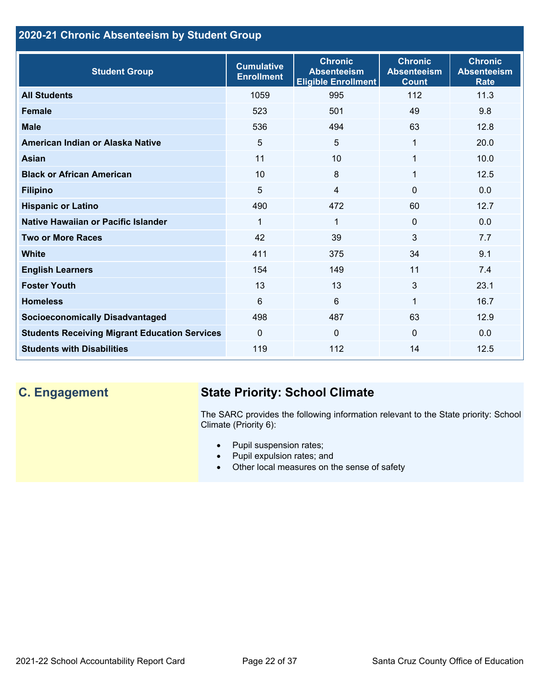## **2020-21 Chronic Absenteeism by Student Group**

| <b>Student Group</b>                                 | <b>Cumulative</b><br><b>Enrollment</b> | <b>Chronic</b><br><b>Absenteeism</b><br><b>Eligible Enrollment</b> | <b>Chronic</b><br><b>Absenteeism</b><br><b>Count</b> | <b>Chronic</b><br><b>Absenteeism</b><br><b>Rate</b> |
|------------------------------------------------------|----------------------------------------|--------------------------------------------------------------------|------------------------------------------------------|-----------------------------------------------------|
| <b>All Students</b>                                  | 1059                                   | 995                                                                | 112                                                  | 11.3                                                |
| <b>Female</b>                                        | 523                                    | 501                                                                | 49                                                   | 9.8                                                 |
| <b>Male</b>                                          | 536                                    | 494                                                                | 63                                                   | 12.8                                                |
| American Indian or Alaska Native                     | 5                                      | 5                                                                  | 1                                                    | 20.0                                                |
| <b>Asian</b>                                         | 11                                     | 10                                                                 | 1                                                    | 10.0                                                |
| <b>Black or African American</b>                     | 10                                     | 8                                                                  | 1                                                    | 12.5                                                |
| <b>Filipino</b>                                      | 5                                      | $\overline{4}$                                                     | $\mathbf{0}$                                         | 0.0                                                 |
| <b>Hispanic or Latino</b>                            | 490                                    | 472                                                                | 60                                                   | 12.7                                                |
| Native Hawaiian or Pacific Islander                  | 1                                      | $\mathbf 1$                                                        | $\mathbf 0$                                          | 0.0                                                 |
| <b>Two or More Races</b>                             | 42                                     | 39                                                                 | 3                                                    | 7.7                                                 |
| <b>White</b>                                         | 411                                    | 375                                                                | 34                                                   | 9.1                                                 |
| <b>English Learners</b>                              | 154                                    | 149                                                                | 11                                                   | 7.4                                                 |
| <b>Foster Youth</b>                                  | 13                                     | 13                                                                 | 3                                                    | 23.1                                                |
| <b>Homeless</b>                                      | 6                                      | 6                                                                  | 1                                                    | 16.7                                                |
| <b>Socioeconomically Disadvantaged</b>               | 498                                    | 487                                                                | 63                                                   | 12.9                                                |
| <b>Students Receiving Migrant Education Services</b> | $\mathbf{0}$                           | $\mathbf{0}$                                                       | $\Omega$                                             | 0.0                                                 |
| <b>Students with Disabilities</b>                    | 119                                    | 112                                                                | 14                                                   | 12.5                                                |

## **C. Engagement State Priority: School Climate**

The SARC provides the following information relevant to the State priority: School Climate (Priority 6):

- Pupil suspension rates;
- Pupil expulsion rates; and
- Other local measures on the sense of safety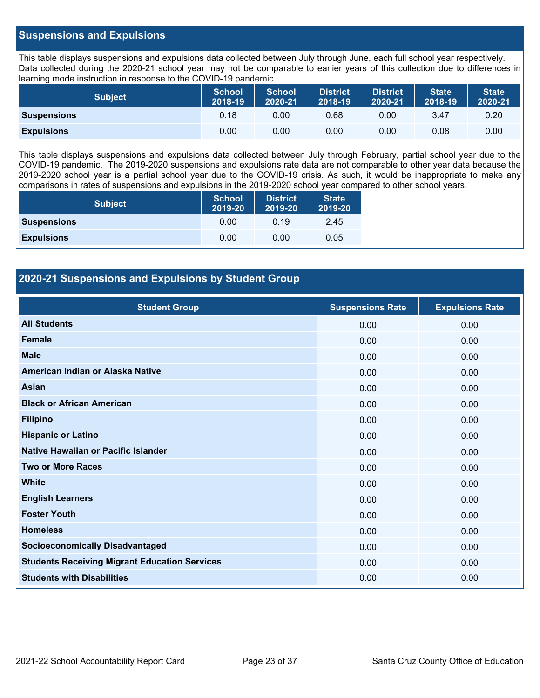#### **Suspensions and Expulsions**

This table displays suspensions and expulsions data collected between July through June, each full school year respectively. Data collected during the 2020-21 school year may not be comparable to earlier years of this collection due to differences in learning mode instruction in response to the COVID-19 pandemic.

| <b>Subject</b>     | <b>School</b><br>2018-19 | <b>School</b><br>2020-21 | <b>District</b><br>2018-19 | <b>District</b><br>2020-21 | <b>State</b><br>2018-19 | <b>State</b><br>2020-21 |
|--------------------|--------------------------|--------------------------|----------------------------|----------------------------|-------------------------|-------------------------|
| <b>Suspensions</b> | 0.18                     | 0.00                     | 0.68                       | 0.00                       | 3.47                    | 0.20                    |
| <b>Expulsions</b>  | 0.00                     | 0.00                     | 0.00                       | 0.00                       | 0.08                    | 0.00                    |

This table displays suspensions and expulsions data collected between July through February, partial school year due to the COVID-19 pandemic. The 2019-2020 suspensions and expulsions rate data are not comparable to other year data because the 2019-2020 school year is a partial school year due to the COVID-19 crisis. As such, it would be inappropriate to make any comparisons in rates of suspensions and expulsions in the 2019-2020 school year compared to other school years.

| <b>Subject</b>     | <b>School</b><br>2019-20 | <b>District</b><br>2019-20 | <b>State</b><br>2019-20 |  |
|--------------------|--------------------------|----------------------------|-------------------------|--|
| <b>Suspensions</b> | 0.00                     | 0.19                       | 2.45                    |  |
| <b>Expulsions</b>  | 0.00                     | 0.00                       | 0.05                    |  |

### **2020-21 Suspensions and Expulsions by Student Group**

| <b>Student Group</b>                                 | <b>Suspensions Rate</b> | <b>Expulsions Rate</b> |
|------------------------------------------------------|-------------------------|------------------------|
| <b>All Students</b>                                  | 0.00                    | 0.00                   |
| <b>Female</b>                                        | 0.00                    | 0.00                   |
| <b>Male</b>                                          | 0.00                    | 0.00                   |
| American Indian or Alaska Native                     | 0.00                    | 0.00                   |
| Asian                                                | 0.00                    | 0.00                   |
| <b>Black or African American</b>                     | 0.00                    | 0.00                   |
| <b>Filipino</b>                                      | 0.00                    | 0.00                   |
| <b>Hispanic or Latino</b>                            | 0.00                    | 0.00                   |
| Native Hawaiian or Pacific Islander                  | 0.00                    | 0.00                   |
| <b>Two or More Races</b>                             | 0.00                    | 0.00                   |
| <b>White</b>                                         | 0.00                    | 0.00                   |
| <b>English Learners</b>                              | 0.00                    | 0.00                   |
| <b>Foster Youth</b>                                  | 0.00                    | 0.00                   |
| <b>Homeless</b>                                      | 0.00                    | 0.00                   |
| <b>Socioeconomically Disadvantaged</b>               | 0.00                    | 0.00                   |
| <b>Students Receiving Migrant Education Services</b> | 0.00                    | 0.00                   |
| <b>Students with Disabilities</b>                    | 0.00                    | 0.00                   |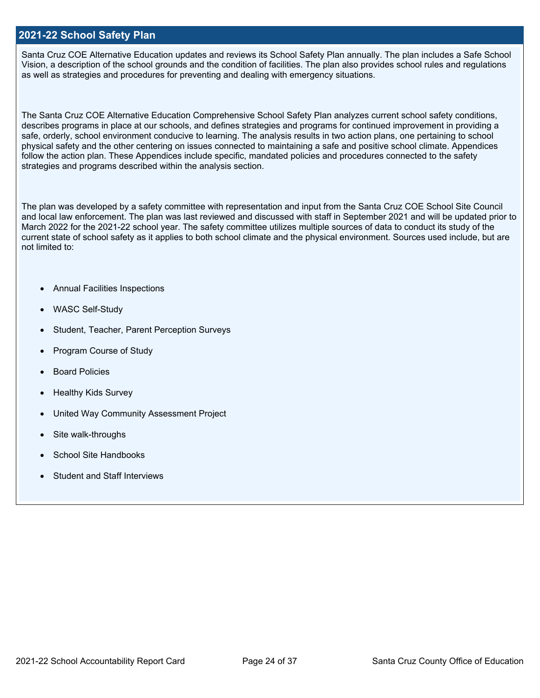#### **2021-22 School Safety Plan**

Santa Cruz COE Alternative Education updates and reviews its School Safety Plan annually. The plan includes a Safe School Vision, a description of the school grounds and the condition of facilities. The plan also provides school rules and regulations as well as strategies and procedures for preventing and dealing with emergency situations.

The Santa Cruz COE Alternative Education Comprehensive School Safety Plan analyzes current school safety conditions, describes programs in place at our schools, and defines strategies and programs for continued improvement in providing a safe, orderly, school environment conducive to learning. The analysis results in two action plans, one pertaining to school physical safety and the other centering on issues connected to maintaining a safe and positive school climate. Appendices follow the action plan. These Appendices include specific, mandated policies and procedures connected to the safety strategies and programs described within the analysis section.

The plan was developed by a safety committee with representation and input from the Santa Cruz COE School Site Council and local law enforcement. The plan was last reviewed and discussed with staff in September 2021 and will be updated prior to March 2022 for the 2021-22 school year. The safety committee utilizes multiple sources of data to conduct its study of the current state of school safety as it applies to both school climate and the physical environment. Sources used include, but are not limited to:

- Annual Facilities Inspections
- WASC Self-Study
- Student, Teacher, Parent Perception Surveys
- Program Course of Study
- **Board Policies**
- Healthy Kids Survey
- United Way Community Assessment Project
- Site walk-throughs
- School Site Handbooks
- Student and Staff Interviews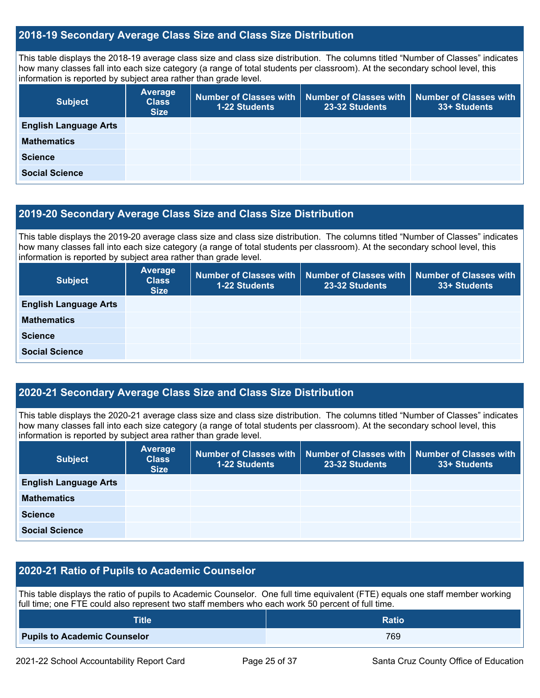#### **2018-19 Secondary Average Class Size and Class Size Distribution**

This table displays the 2018-19 average class size and class size distribution. The columns titled "Number of Classes" indicates how many classes fall into each size category (a range of total students per classroom). At the secondary school level, this information is reported by subject area rather than grade level.

| <b>Subject</b>               | <b>Average</b><br><b>Class</b><br><b>Size</b> | <b>1-22 Students</b> | Number of Classes with   Number of Classes with   Number of Classes with<br>23-32 Students | 33+ Students |
|------------------------------|-----------------------------------------------|----------------------|--------------------------------------------------------------------------------------------|--------------|
| <b>English Language Arts</b> |                                               |                      |                                                                                            |              |
| <b>Mathematics</b>           |                                               |                      |                                                                                            |              |
| <b>Science</b>               |                                               |                      |                                                                                            |              |
| <b>Social Science</b>        |                                               |                      |                                                                                            |              |

### **2019-20 Secondary Average Class Size and Class Size Distribution**

This table displays the 2019-20 average class size and class size distribution. The columns titled "Number of Classes" indicates how many classes fall into each size category (a range of total students per classroom). At the secondary school level, this information is reported by subject area rather than grade level.

| <b>Subject</b>               | <b>Average</b><br><b>Class</b><br><b>Size</b> | <b>1-22 Students</b> | Number of Classes with   Number of Classes with   Number of Classes with<br>23-32 Students | 33+ Students |
|------------------------------|-----------------------------------------------|----------------------|--------------------------------------------------------------------------------------------|--------------|
| <b>English Language Arts</b> |                                               |                      |                                                                                            |              |
| <b>Mathematics</b>           |                                               |                      |                                                                                            |              |
| <b>Science</b>               |                                               |                      |                                                                                            |              |
| <b>Social Science</b>        |                                               |                      |                                                                                            |              |

### **2020-21 Secondary Average Class Size and Class Size Distribution**

This table displays the 2020-21 average class size and class size distribution. The columns titled "Number of Classes" indicates how many classes fall into each size category (a range of total students per classroom). At the secondary school level, this information is reported by subject area rather than grade level.

| <b>Subject</b>               | Average<br><b>Class</b><br><b>Size</b> | 1-22 Students | Number of Classes with   Number of Classes with  <br>23-32 Students | <b>Number of Classes with</b><br>33+ Students |
|------------------------------|----------------------------------------|---------------|---------------------------------------------------------------------|-----------------------------------------------|
| <b>English Language Arts</b> |                                        |               |                                                                     |                                               |
| <b>Mathematics</b>           |                                        |               |                                                                     |                                               |
| <b>Science</b>               |                                        |               |                                                                     |                                               |
| <b>Social Science</b>        |                                        |               |                                                                     |                                               |

### **2020-21 Ratio of Pupils to Academic Counselor**

This table displays the ratio of pupils to Academic Counselor. One full time equivalent (FTE) equals one staff member working full time; one FTE could also represent two staff members who each work 50 percent of full time.

| <b>Title</b>                        | <b>Ratio</b> |
|-------------------------------------|--------------|
| <b>Pupils to Academic Counselor</b> | 769          |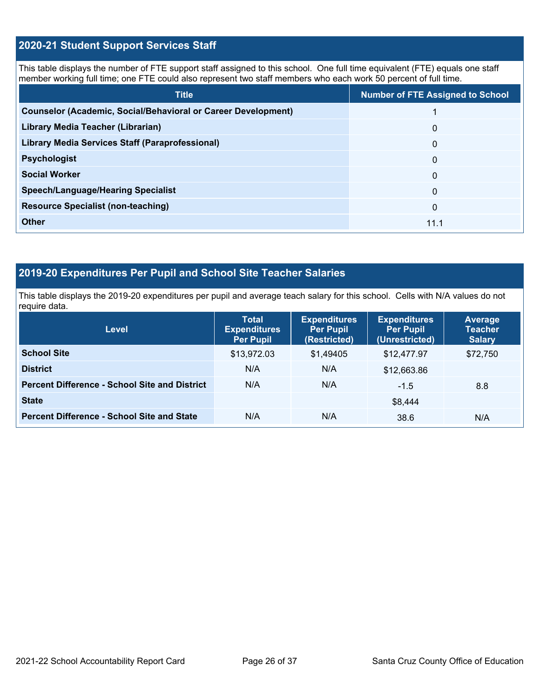## **2020-21 Student Support Services Staff**

This table displays the number of FTE support staff assigned to this school. One full time equivalent (FTE) equals one staff member working full time; one FTE could also represent two staff members who each work 50 percent of full time.

| <b>Title</b>                                                         | <b>Number of FTE Assigned to School</b> |
|----------------------------------------------------------------------|-----------------------------------------|
| <b>Counselor (Academic, Social/Behavioral or Career Development)</b> |                                         |
| Library Media Teacher (Librarian)                                    | $\Omega$                                |
| Library Media Services Staff (Paraprofessional)                      | $\Omega$                                |
| <b>Psychologist</b>                                                  | $\Omega$                                |
| <b>Social Worker</b>                                                 | $\mathbf{0}$                            |
| <b>Speech/Language/Hearing Specialist</b>                            | $\mathbf{0}$                            |
| <b>Resource Specialist (non-teaching)</b>                            | $\Omega$                                |
| <b>Other</b>                                                         | 11.1                                    |

## **2019-20 Expenditures Per Pupil and School Site Teacher Salaries**

This table displays the 2019-20 expenditures per pupil and average teach salary for this school. Cells with N/A values do not require data.

| Level                                                | <b>Total</b><br><b>Expenditures</b><br><b>Per Pupil</b> | <b>Expenditures</b><br><b>Per Pupil</b><br>(Restricted) | <b>Expenditures</b><br><b>Per Pupil</b><br>(Unrestricted) | Average<br><b>Teacher</b><br><b>Salary</b> |
|------------------------------------------------------|---------------------------------------------------------|---------------------------------------------------------|-----------------------------------------------------------|--------------------------------------------|
| <b>School Site</b>                                   | \$13,972.03                                             | \$1,49405                                               | \$12,477.97                                               | \$72,750                                   |
| <b>District</b>                                      | N/A                                                     | N/A                                                     | \$12,663.86                                               |                                            |
| <b>Percent Difference - School Site and District</b> | N/A                                                     | N/A                                                     | $-1.5$                                                    | 8.8                                        |
| <b>State</b>                                         |                                                         |                                                         | \$8.444                                                   |                                            |
| <b>Percent Difference - School Site and State</b>    | N/A                                                     | N/A                                                     | 38.6                                                      | N/A                                        |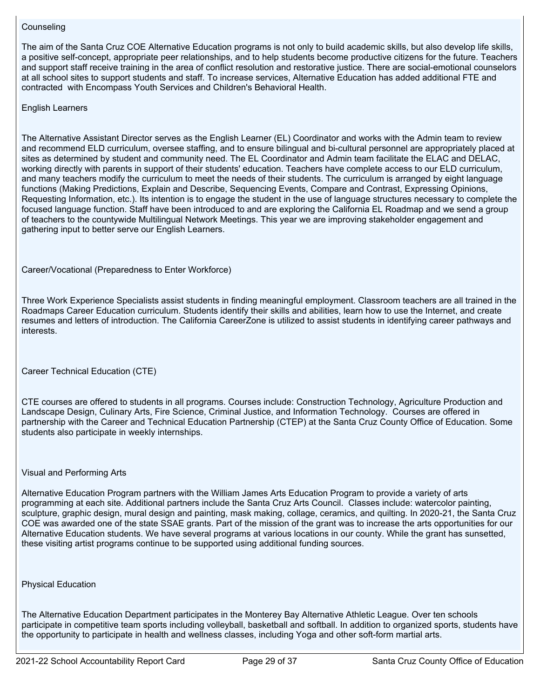#### **Counseling**

The aim of the Santa Cruz COE Alternative Education programs is not only to build academic skills, but also develop life skills, a positive self-concept, appropriate peer relationships, and to help students become productive citizens for the future. Teachers and support staff receive training in the area of conflict resolution and restorative justice. There are social-emotional counselors at all school sites to support students and staff. To increase services, Alternative Education has added additional FTE and contracted with Encompass Youth Services and Children's Behavioral Health.

English Learners

The Alternative Assistant Director serves as the English Learner (EL) Coordinator and works with the Admin team to review and recommend ELD curriculum, oversee staffing, and to ensure bilingual and bi-cultural personnel are appropriately placed at sites as determined by student and community need. The EL Coordinator and Admin team facilitate the ELAC and DELAC, working directly with parents in support of their students' education. Teachers have complete access to our ELD curriculum, and many teachers modify the curriculum to meet the needs of their students. The curriculum is arranged by eight language functions (Making Predictions, Explain and Describe, Sequencing Events, Compare and Contrast, Expressing Opinions, Requesting Information, etc.). Its intention is to engage the student in the use of language structures necessary to complete the focused language function. Staff have been introduced to and are exploring the California EL Roadmap and we send a group of teachers to the countywide Multilingual Network Meetings. This year we are improving stakeholder engagement and gathering input to better serve our English Learners.

Career/Vocational (Preparedness to Enter Workforce)

Three Work Experience Specialists assist students in finding meaningful employment. Classroom teachers are all trained in the Roadmaps Career Education curriculum. Students identify their skills and abilities, learn how to use the Internet, and create resumes and letters of introduction. The California CareerZone is utilized to assist students in identifying career pathways and interests.

Career Technical Education (CTE)

CTE courses are offered to students in all programs. Courses include: Construction Technology, Agriculture Production and Landscape Design, Culinary Arts, Fire Science, Criminal Justice, and Information Technology. Courses are offered in partnership with the Career and Technical Education Partnership (CTEP) at the Santa Cruz County Office of Education. Some students also participate in weekly internships.

#### Visual and Performing Arts

Alternative Education Program partners with the William James Arts Education Program to provide a variety of arts programming at each site. Additional partners include the Santa Cruz Arts Council. Classes include: watercolor painting, sculpture, graphic design, mural design and painting, mask making, collage, ceramics, and quilting. In 2020-21, the Santa Cruz COE was awarded one of the state SSAE grants. Part of the mission of the grant was to increase the arts opportunities for our Alternative Education students. We have several programs at various locations in our county. While the grant has sunsetted, these visiting artist programs continue to be supported using additional funding sources.

#### Physical Education

The Alternative Education Department participates in the Monterey Bay Alternative Athletic League. Over ten schools participate in competitive team sports including volleyball, basketball and softball. In addition to organized sports, students have the opportunity to participate in health and wellness classes, including Yoga and other soft-form martial arts.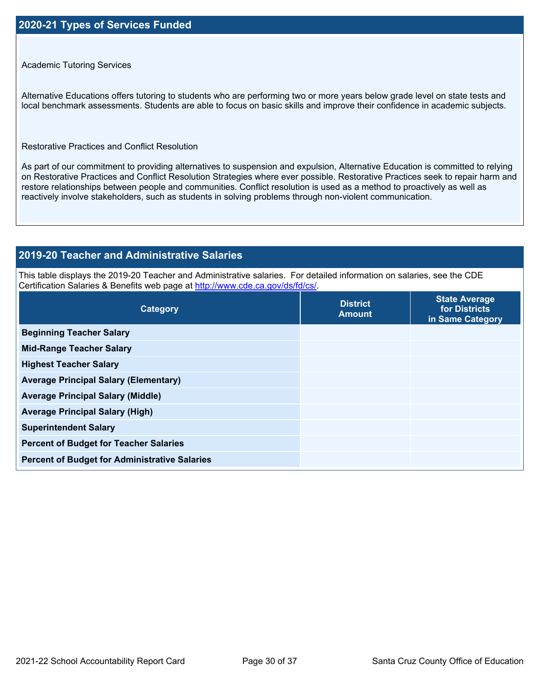#### Academic Tutoring Services

Alternative Educations offers tutoring to students who are performing two or more years below grade level on state tests and local benchmark assessments. Students are able to focus on basic skills and improve their confidence in academic subjects.

Restorative Practices and Conflict Resolution

As part of our commitment to providing alternatives to suspension and expulsion, Alternative Education is committed to relying on Restorative Practices and Conflict Resolution Strategies where ever possible. Restorative Practices seek to repair harm and restore relationships between people and communities. Conflict resolution is used as a method to proactively as well as reactively involve stakeholders, such as students in solving problems through non-violent communication.

## **2019-20 Teacher and Administrative Salaries**

This table displays the 2019-20 Teacher and Administrative salaries. For detailed information on salaries, see the CDE Certification Salaries & Benefits web page at<http://www.cde.ca.gov/ds/fd/cs/>.

| Category                                             | <b>District</b><br><b>Amount</b> | <b>State Average</b><br>for Districts<br>in Same Category |
|------------------------------------------------------|----------------------------------|-----------------------------------------------------------|
| <b>Beginning Teacher Salary</b>                      |                                  |                                                           |
| <b>Mid-Range Teacher Salary</b>                      |                                  |                                                           |
| <b>Highest Teacher Salary</b>                        |                                  |                                                           |
| <b>Average Principal Salary (Elementary)</b>         |                                  |                                                           |
| <b>Average Principal Salary (Middle)</b>             |                                  |                                                           |
| <b>Average Principal Salary (High)</b>               |                                  |                                                           |
| <b>Superintendent Salary</b>                         |                                  |                                                           |
| <b>Percent of Budget for Teacher Salaries</b>        |                                  |                                                           |
| <b>Percent of Budget for Administrative Salaries</b> |                                  |                                                           |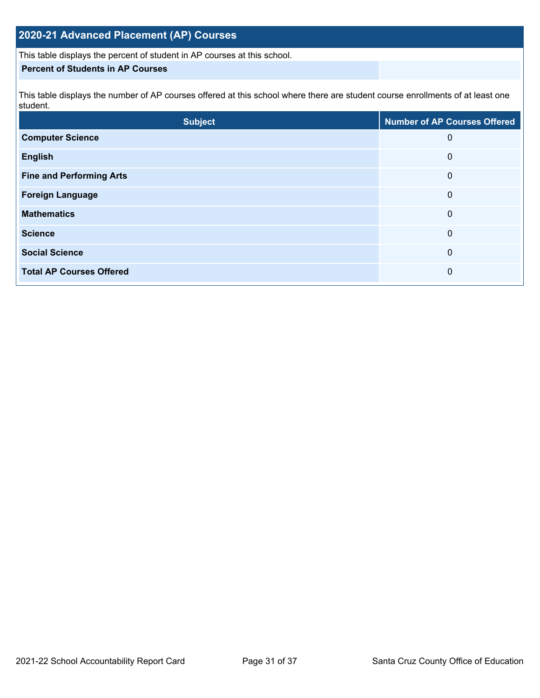## **2020-21 Advanced Placement (AP) Courses**

This table displays the percent of student in AP courses at this school.

#### **Percent of Students in AP Courses**

This table displays the number of AP courses offered at this school where there are student course enrollments of at least one student.

| <b>Subject</b>                  | <b>Number of AP Courses Offered</b> |
|---------------------------------|-------------------------------------|
| <b>Computer Science</b>         | 0                                   |
| <b>English</b>                  | 0                                   |
| <b>Fine and Performing Arts</b> | 0                                   |
| <b>Foreign Language</b>         | 0                                   |
| <b>Mathematics</b>              | 0                                   |
| <b>Science</b>                  | 0                                   |
| <b>Social Science</b>           | 0                                   |
| <b>Total AP Courses Offered</b> | 0                                   |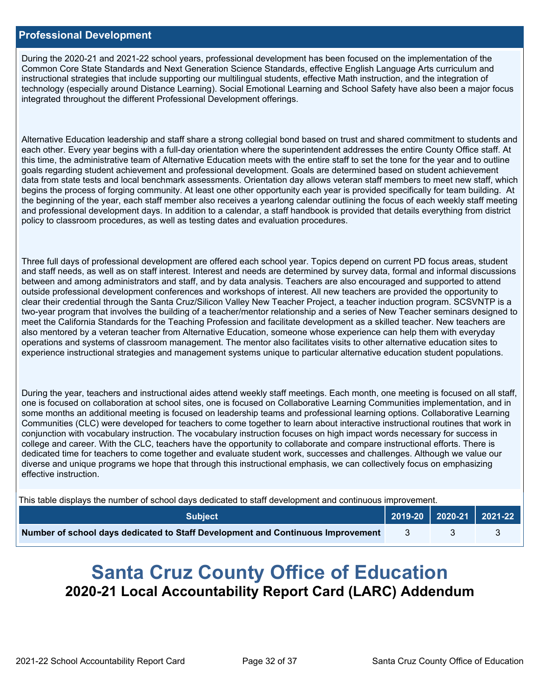#### **Professional Development**

During the 2020-21 and 2021-22 school years, professional development has been focused on the implementation of the Common Core State Standards and Next Generation Science Standards, effective English Language Arts curriculum and instructional strategies that include supporting our multilingual students, effective Math instruction, and the integration of technology (especially around Distance Learning). Social Emotional Learning and School Safety have also been a major focus integrated throughout the different Professional Development offerings.

Alternative Education leadership and staff share a strong collegial bond based on trust and shared commitment to students and each other. Every year begins with a full-day orientation where the superintendent addresses the entire County Office staff. At this time, the administrative team of Alternative Education meets with the entire staff to set the tone for the year and to outline goals regarding student achievement and professional development. Goals are determined based on student achievement data from state tests and local benchmark assessments. Orientation day allows veteran staff members to meet new staff, which begins the process of forging community. At least one other opportunity each year is provided specifically for team building. At the beginning of the year, each staff member also receives a yearlong calendar outlining the focus of each weekly staff meeting and professional development days. In addition to a calendar, a staff handbook is provided that details everything from district policy to classroom procedures, as well as testing dates and evaluation procedures.

Three full days of professional development are offered each school year. Topics depend on current PD focus areas, student and staff needs, as well as on staff interest. Interest and needs are determined by survey data, formal and informal discussions between and among administrators and staff, and by data analysis. Teachers are also encouraged and supported to attend outside professional development conferences and workshops of interest. All new teachers are provided the opportunity to clear their credential through the Santa Cruz/Silicon Valley New Teacher Project, a teacher induction program. SCSVNTP is a two-year program that involves the building of a teacher/mentor relationship and a series of New Teacher seminars designed to meet the California Standards for the Teaching Profession and facilitate development as a skilled teacher. New teachers are also mentored by a veteran teacher from Alternative Education, someone whose experience can help them with everyday operations and systems of classroom management. The mentor also facilitates visits to other alternative education sites to experience instructional strategies and management systems unique to particular alternative education student populations.

During the year, teachers and instructional aides attend weekly staff meetings. Each month, one meeting is focused on all staff, one is focused on collaboration at school sites, one is focused on Collaborative Learning Communities implementation, and in some months an additional meeting is focused on leadership teams and professional learning options. Collaborative Learning Communities (CLC) were developed for teachers to come together to learn about interactive instructional routines that work in conjunction with vocabulary instruction. The vocabulary instruction focuses on high impact words necessary for success in college and career. With the CLC, teachers have the opportunity to collaborate and compare instructional efforts. There is dedicated time for teachers to come together and evaluate student work, successes and challenges. Although we value our diverse and unique programs we hope that through this instructional emphasis, we can collectively focus on emphasizing effective instruction.

This table displays the number of school days dedicated to staff development and continuous improvement.

| <b>Subject</b>                                                                  |  | $\vert$ 2019-20 2020-21 2021-22 |
|---------------------------------------------------------------------------------|--|---------------------------------|
| Number of school days dedicated to Staff Development and Continuous Improvement |  |                                 |

# **Santa Cruz County Office of Education 2020-21 Local Accountability Report Card (LARC) Addendum**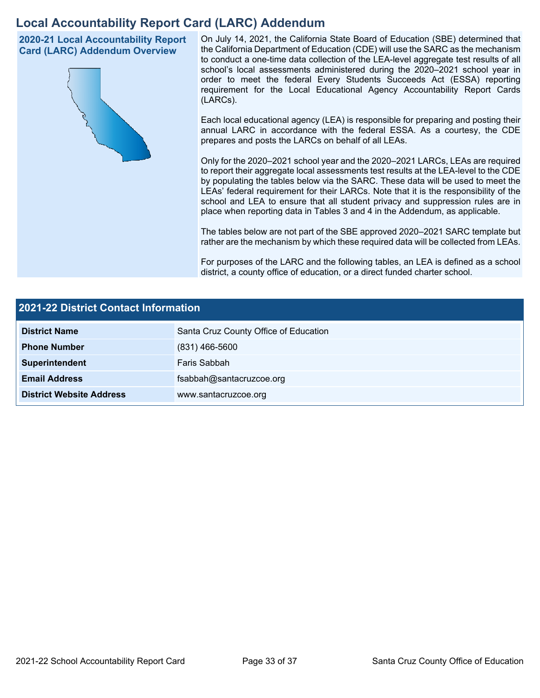## **Local Accountability Report Card (LARC) Addendum**

**2020-21 Local Accountability Report Card (LARC) Addendum Overview**



On July 14, 2021, the California State Board of Education (SBE) determined that the California Department of Education (CDE) will use the SARC as the mechanism to conduct a one-time data collection of the LEA-level aggregate test results of all school's local assessments administered during the 2020–2021 school year in order to meet the federal Every Students Succeeds Act (ESSA) reporting requirement for the Local Educational Agency Accountability Report Cards (LARCs).

Each local educational agency (LEA) is responsible for preparing and posting their annual LARC in accordance with the federal ESSA. As a courtesy, the CDE prepares and posts the LARCs on behalf of all LEAs.

Only for the 2020–2021 school year and the 2020–2021 LARCs, LEAs are required to report their aggregate local assessments test results at the LEA-level to the CDE by populating the tables below via the SARC. These data will be used to meet the LEAs' federal requirement for their LARCs. Note that it is the responsibility of the school and LEA to ensure that all student privacy and suppression rules are in place when reporting data in Tables 3 and 4 in the Addendum, as applicable.

The tables below are not part of the SBE approved 2020–2021 SARC template but rather are the mechanism by which these required data will be collected from LEAs.

For purposes of the LARC and the following tables, an LEA is defined as a school district, a county office of education, or a direct funded charter school.

| 2021-22 District Contact Information |                                       |  |  |  |  |
|--------------------------------------|---------------------------------------|--|--|--|--|
| <b>District Name</b>                 | Santa Cruz County Office of Education |  |  |  |  |
| <b>Phone Number</b>                  | $(831)$ 466-5600                      |  |  |  |  |
| Superintendent                       | Faris Sabbah                          |  |  |  |  |
| <b>Email Address</b>                 | fsabbah@santacruzcoe.org              |  |  |  |  |
| <b>District Website Address</b>      | www.santacruzcoe.org                  |  |  |  |  |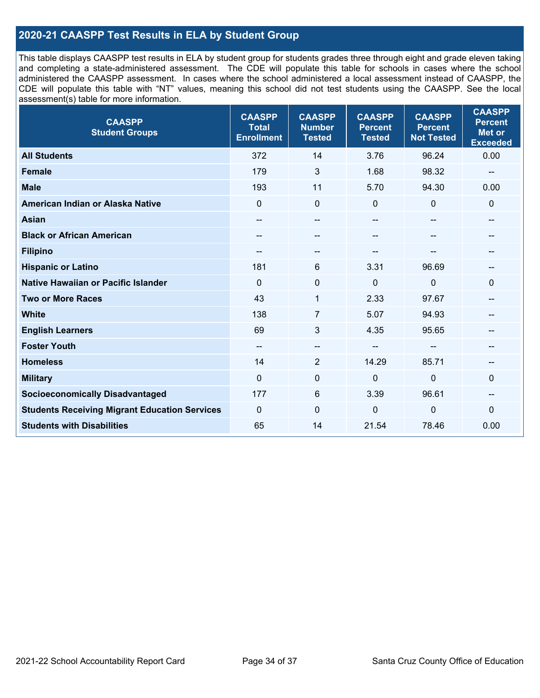## **2020-21 CAASPP Test Results in ELA by Student Group**

This table displays CAASPP test results in ELA by student group for students grades three through eight and grade eleven taking and completing a state-administered assessment. The CDE will populate this table for schools in cases where the school administered the CAASPP assessment. In cases where the school administered a local assessment instead of CAASPP, the CDE will populate this table with "NT" values, meaning this school did not test students using the CAASPP. See the local assessment(s) table for more information.

| <b>CAASPP</b><br><b>Student Groups</b>               | <b>CAASPP</b><br><b>Total</b><br><b>Enrollment</b> | <b>CAASPP</b><br><b>Number</b><br><b>Tested</b> | <b>CAASPP</b><br><b>Percent</b><br><b>Tested</b> | <b>CAASPP</b><br><b>Percent</b><br><b>Not Tested</b> | <b>CAASPP</b><br><b>Percent</b><br>Met or<br><b>Exceeded</b> |
|------------------------------------------------------|----------------------------------------------------|-------------------------------------------------|--------------------------------------------------|------------------------------------------------------|--------------------------------------------------------------|
| <b>All Students</b>                                  | 372                                                | 14                                              | 3.76                                             | 96.24                                                | 0.00                                                         |
| <b>Female</b>                                        | 179                                                | 3                                               | 1.68                                             | 98.32                                                | --                                                           |
| <b>Male</b>                                          | 193                                                | 11                                              | 5.70                                             | 94.30                                                | 0.00                                                         |
| American Indian or Alaska Native                     | $\mathbf 0$                                        | $\mathbf 0$                                     | $\mathbf{0}$                                     | $\mathbf 0$                                          | $\mathbf 0$                                                  |
| <b>Asian</b>                                         |                                                    | --                                              |                                                  |                                                      |                                                              |
| <b>Black or African American</b>                     |                                                    | --                                              | --                                               | $\overline{\phantom{m}}$                             | --                                                           |
| <b>Filipino</b>                                      |                                                    | --                                              |                                                  |                                                      |                                                              |
| <b>Hispanic or Latino</b>                            | 181                                                | 6                                               | 3.31                                             | 96.69                                                |                                                              |
| <b>Native Hawaiian or Pacific Islander</b>           | $\Omega$                                           | $\pmb{0}$                                       | 0                                                | 0                                                    | $\mathbf{0}$                                                 |
| <b>Two or More Races</b>                             | 43                                                 | 1                                               | 2.33                                             | 97.67                                                | $\qquad \qquad -$                                            |
| <b>White</b>                                         | 138                                                | 7                                               | 5.07                                             | 94.93                                                | $\qquad \qquad \textbf{---}$                                 |
| <b>English Learners</b>                              | 69                                                 | 3                                               | 4.35                                             | 95.65                                                |                                                              |
| <b>Foster Youth</b>                                  | $- -$                                              | $-$                                             | --                                               |                                                      |                                                              |
| <b>Homeless</b>                                      | 14                                                 | $\overline{2}$                                  | 14.29                                            | 85.71                                                | $\qquad \qquad \textbf{---}$                                 |
| <b>Military</b>                                      | $\mathbf 0$                                        | 0                                               | 0                                                | 0                                                    | 0                                                            |
| <b>Socioeconomically Disadvantaged</b>               | 177                                                | 6                                               | 3.39                                             | 96.61                                                | --                                                           |
| <b>Students Receiving Migrant Education Services</b> | $\Omega$                                           | $\mathbf{0}$                                    | $\Omega$                                         | 0                                                    | $\Omega$                                                     |
| <b>Students with Disabilities</b>                    | 65                                                 | 14                                              | 21.54                                            | 78.46                                                | 0.00                                                         |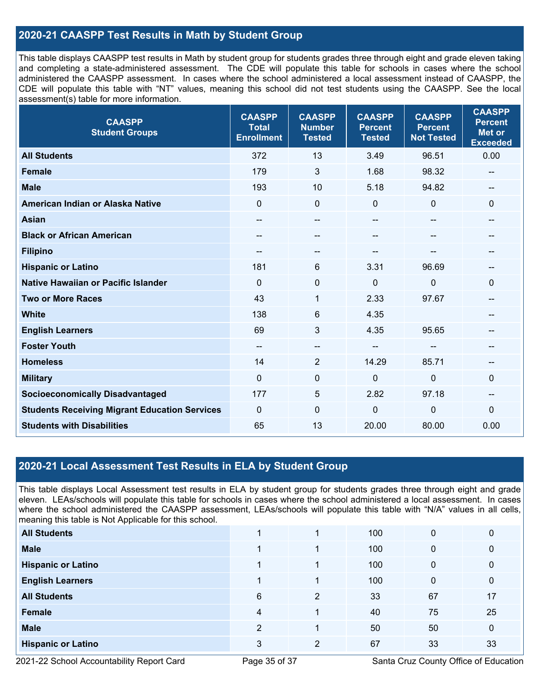## **2020-21 CAASPP Test Results in Math by Student Group**

This table displays CAASPP test results in Math by student group for students grades three through eight and grade eleven taking and completing a state-administered assessment. The CDE will populate this table for schools in cases where the school administered the CAASPP assessment. In cases where the school administered a local assessment instead of CAASPP, the CDE will populate this table with "NT" values, meaning this school did not test students using the CAASPP. See the local assessment(s) table for more information.

| <b>CAASPP</b><br><b>Student Groups</b>               | <b>CAASPP</b><br><b>Total</b><br><b>Enrollment</b> | <b>CAASPP</b><br><b>Number</b><br><b>Tested</b> | <b>CAASPP</b><br><b>Percent</b><br><b>Tested</b> | <b>CAASPP</b><br><b>Percent</b><br><b>Not Tested</b> | <b>CAASPP</b><br><b>Percent</b><br><b>Met or</b><br><b>Exceeded</b> |
|------------------------------------------------------|----------------------------------------------------|-------------------------------------------------|--------------------------------------------------|------------------------------------------------------|---------------------------------------------------------------------|
| <b>All Students</b>                                  | 372                                                | 13                                              | 3.49                                             | 96.51                                                | 0.00                                                                |
| <b>Female</b>                                        | 179                                                | 3                                               | 1.68                                             | 98.32                                                | --                                                                  |
| <b>Male</b>                                          | 193                                                | 10                                              | 5.18                                             | 94.82                                                | $\overline{\phantom{a}}$                                            |
| American Indian or Alaska Native                     | $\mathbf 0$                                        | $\mathbf 0$                                     | $\mathbf 0$                                      | $\overline{0}$                                       | $\mathbf 0$                                                         |
| <b>Asian</b>                                         | $- -$                                              | $-$                                             | $\qquad \qquad -$                                | --                                                   | --                                                                  |
| <b>Black or African American</b>                     | $- -$                                              | $-$                                             | $\qquad \qquad -$                                |                                                      | --                                                                  |
| <b>Filipino</b>                                      | $\overline{\phantom{a}}$                           | $-$                                             |                                                  |                                                      | --                                                                  |
| <b>Hispanic or Latino</b>                            | 181                                                | 6                                               | 3.31                                             | 96.69                                                |                                                                     |
| <b>Native Hawaiian or Pacific Islander</b>           | $\Omega$                                           | 0                                               | $\mathbf 0$                                      | $\mathbf 0$                                          | $\mathbf 0$                                                         |
| <b>Two or More Races</b>                             | 43                                                 | $\mathbf{1}$                                    | 2.33                                             | 97.67                                                | $\qquad \qquad -$                                                   |
| <b>White</b>                                         | 138                                                | 6                                               | 4.35                                             |                                                      | --                                                                  |
| <b>English Learners</b>                              | 69                                                 | 3                                               | 4.35                                             | 95.65                                                |                                                                     |
| <b>Foster Youth</b>                                  | $-\!$                                              | $-$                                             | $\qquad \qquad -$                                |                                                      |                                                                     |
| <b>Homeless</b>                                      | 14                                                 | $\overline{2}$                                  | 14.29                                            | 85.71                                                | --                                                                  |
| <b>Military</b>                                      | $\mathbf 0$                                        | 0                                               | $\mathbf 0$                                      | $\mathbf 0$                                          | $\mathbf 0$                                                         |
| <b>Socioeconomically Disadvantaged</b>               | 177                                                | 5                                               | 2.82                                             | 97.18                                                | $\qquad \qquad \textbf{---}$                                        |
| <b>Students Receiving Migrant Education Services</b> | $\mathbf 0$                                        | $\mathbf{0}$                                    | $\mathbf 0$                                      | $\mathbf 0$                                          | $\mathbf 0$                                                         |
| <b>Students with Disabilities</b>                    | 65                                                 | 13                                              | 20.00                                            | 80.00                                                | 0.00                                                                |

## **2020-21 Local Assessment Test Results in ELA by Student Group**

This table displays Local Assessment test results in ELA by student group for students grades three through eight and grade eleven. LEAs/schools will populate this table for schools in cases where the school administered a local assessment. In cases where the school administered the CAASPP assessment, LEAs/schools will populate this table with "N/A" values in all cells, meaning this table is Not Applicable for this school.

| <b>All Students</b>       |   |                | 100 | 0  | 0           |
|---------------------------|---|----------------|-----|----|-------------|
| <b>Male</b>               |   | 4              | 100 | 0  | $\mathbf 0$ |
| <b>Hispanic or Latino</b> |   |                | 100 | 0  | $\mathbf 0$ |
| <b>English Learners</b>   |   | 4              | 100 | 0  | $\mathbf 0$ |
| <b>All Students</b>       | 6 | 2              | 33  | 67 | 17          |
| Female                    | 4 |                | 40  | 75 | 25          |
| <b>Male</b>               | 2 |                | 50  | 50 | $\mathbf 0$ |
| <b>Hispanic or Latino</b> | 3 | $\overline{2}$ | 67  | 33 | 33          |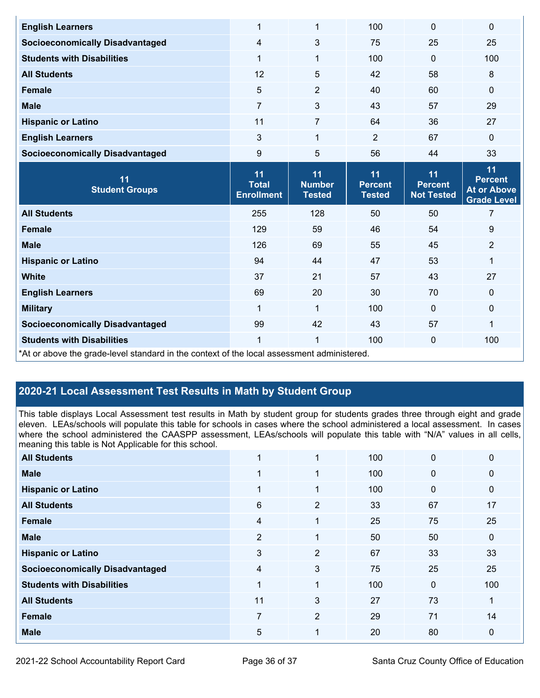| <b>English Learners</b>                | 1                                 | $\mathbf{1}$                   | 100                             | $\mathbf 0$                         | $\mathbf 0$                              |
|----------------------------------------|-----------------------------------|--------------------------------|---------------------------------|-------------------------------------|------------------------------------------|
| <b>Socioeconomically Disadvantaged</b> | 4                                 | 3                              | 75                              | 25                                  | 25                                       |
| <b>Students with Disabilities</b>      | 1                                 | $\mathbf 1$                    | 100                             | $\mathbf 0$                         | 100                                      |
| <b>All Students</b>                    | 12                                | 5                              | 42                              | 58                                  | 8                                        |
| <b>Female</b>                          | 5                                 | $\overline{2}$                 | 40                              | 60                                  | $\mathbf 0$                              |
| <b>Male</b>                            | $\overline{7}$                    | 3                              | 43                              | 57                                  | 29                                       |
| <b>Hispanic or Latino</b>              | 11                                | $\overline{7}$                 | 64                              | 36                                  | 27                                       |
| <b>English Learners</b>                | 3                                 | $\mathbf{1}$                   | $\overline{2}$                  | 67                                  | $\mathbf 0$                              |
| <b>Socioeconomically Disadvantaged</b> | 9                                 | 5                              | 56                              | 44                                  | 33                                       |
| 11                                     | 11                                | 11                             | 11                              | 11                                  | 11<br><b>Percent</b>                     |
| <b>Student Groups</b>                  | <b>Total</b><br><b>Enrollment</b> | <b>Number</b><br><b>Tested</b> | <b>Percent</b><br><b>Tested</b> | <b>Percent</b><br><b>Not Tested</b> | <b>At or Above</b><br><b>Grade Level</b> |
| <b>All Students</b>                    | 255                               | 128                            | 50                              | 50                                  | $\overline{7}$                           |
| <b>Female</b>                          | 129                               | 59                             | 46                              | 54                                  | 9                                        |
| <b>Male</b>                            | 126                               | 69                             | 55                              | 45                                  | $\overline{2}$                           |
| <b>Hispanic or Latino</b>              | 94                                | 44                             | 47                              | 53                                  | 1                                        |
| <b>White</b>                           | 37                                | 21                             | 57                              | 43                                  | 27                                       |
| <b>English Learners</b>                | 69                                | 20                             | 30                              | 70                                  | $\mathbf 0$                              |
| <b>Military</b>                        | 1                                 | $\mathbf{1}$                   | 100                             | $\mathbf 0$                         | $\mathbf 0$                              |
| <b>Socioeconomically Disadvantaged</b> | 99                                | 42                             | 43                              | 57                                  | 1                                        |
| <b>Students with Disabilities</b>      | 1                                 | $\mathbf{1}$                   | 100                             | $\mathbf 0$                         | 100                                      |

## **2020-21 Local Assessment Test Results in Math by Student Group**

This table displays Local Assessment test results in Math by student group for students grades three through eight and grade eleven. LEAs/schools will populate this table for schools in cases where the school administered a local assessment. In cases where the school administered the CAASPP assessment, LEAs/schools will populate this table with "N/A" values in all cells, meaning this table is Not Applicable for this school.

| <b>All Students</b>                    |                |                | 100 | 0  | $\mathbf 0$  |
|----------------------------------------|----------------|----------------|-----|----|--------------|
| <b>Male</b>                            | 1              | 1              | 100 | 0  | $\mathbf 0$  |
| <b>Hispanic or Latino</b>              | 1              | 1              | 100 | 0  | $\mathbf 0$  |
| <b>All Students</b>                    | $6\phantom{1}$ | $\overline{2}$ | 33  | 67 | 17           |
| Female                                 | $\overline{4}$ | 1              | 25  | 75 | 25           |
| <b>Male</b>                            | $\overline{2}$ | 1              | 50  | 50 | $\mathbf{0}$ |
| <b>Hispanic or Latino</b>              | 3              | $\overline{2}$ | 67  | 33 | 33           |
| <b>Socioeconomically Disadvantaged</b> | $\overline{4}$ | 3              | 75  | 25 | 25           |
| <b>Students with Disabilities</b>      | 1              | 1              | 100 | 0  | 100          |
| <b>All Students</b>                    | 11             | 3              | 27  | 73 | 1            |
| <b>Female</b>                          | $\overline{7}$ | $\overline{2}$ | 29  | 71 | 14           |
| <b>Male</b>                            | 5              | 1              | 20  | 80 | $\mathbf 0$  |